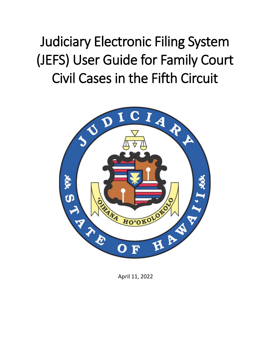Judiciary Electronic Filing System (JEFS) User Guide for Family Court Civil Cases in the Fifth Circuit



April 11, 2022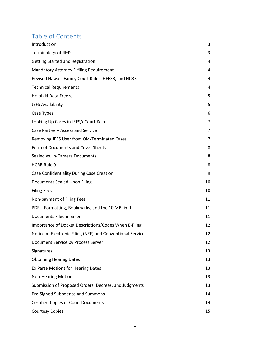## Table of Contents

| Introduction                                               | 3  |
|------------------------------------------------------------|----|
| Terminology of JIMS                                        | 3  |
| <b>Getting Started and Registration</b>                    | 4  |
| <b>Mandatory Attorney E-filing Requirement</b>             | 4  |
| Revised Hawai'i Family Court Rules, HEFSR, and HCRR        | 4  |
| <b>Technical Requirements</b>                              | 4  |
| Ho'ohiki Data Freeze                                       | 5  |
| JEFS Availability                                          | 5  |
| Case Types                                                 | 6  |
| Looking Up Cases in JEFS/eCourt Kokua                      | 7  |
| Case Parties - Access and Service                          | 7  |
| Removing JEFS User from Old/Terminated Cases               | 7  |
| Form of Documents and Cover Sheets                         | 8  |
| Sealed vs. In-Camera Documents                             | 8  |
| <b>HCRR Rule 9</b>                                         | 8  |
| Case Confidentiality During Case Creation                  | 9  |
| Documents Sealed Upon Filing                               | 10 |
| <b>Filing Fees</b>                                         | 10 |
| Non-payment of Filing Fees                                 | 11 |
| PDF - Formatting, Bookmarks, and the 10 MB limit           | 11 |
| Documents Filed in Error                                   | 11 |
| Importance of Docket Descriptions/Codes When E-filing      | 12 |
| Notice of Electronic Filing (NEF) and Conventional Service | 12 |
| Document Service by Process Server                         | 12 |
| Signatures                                                 | 13 |
| <b>Obtaining Hearing Dates</b>                             | 13 |
| Ex Parte Motions for Hearing Dates                         | 13 |
| <b>Non-Hearing Motions</b>                                 | 13 |
| Submission of Proposed Orders, Decrees, and Judgments      | 13 |
| Pre-Signed Subpoenas and Summons                           | 14 |
| <b>Certified Copies of Court Documents</b>                 | 14 |
| <b>Courtesy Copies</b>                                     | 15 |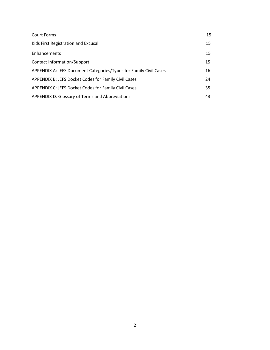| Court Forms                                                       | 15 |
|-------------------------------------------------------------------|----|
| Kids First Registration and Excusal                               | 15 |
| Enhancements                                                      | 15 |
| Contact Information/Support                                       | 15 |
| APPENDIX A: JEFS Document Categories/Types for Family Civil Cases | 16 |
| APPENDIX B: JEFS Docket Codes for Family Civil Cases              | 24 |
| APPENDIX C: JEFS Docket Codes for Family Civil Cases              | 35 |
| APPENDIX D: Glossary of Terms and Abbreviations                   | 43 |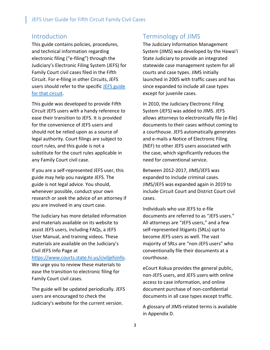#### <span id="page-3-0"></span>Introduction

This guide contains policies, procedures, and technical information regarding electronic filing ("e-filing") through the Judiciary's Electronic Filing System (JEFS) for Family Court civil cases filed in the Fifth Circuit. For e-filing in other Circuits, JEFS users should refer to the specific JEFS guide [for that circuit.](https://www.courts.state.hi.us/civiljefsinfo)

This guide was developed to provide Fifth Circuit JEFS users with a handy reference to ease their transition to JEFS. It is provided for the convenience of JEFS users and should not be relied upon as a source of legal authority. Court filings are subject to court rules, and this guide is not a substitute for the court rules applicable in any Family Court civil case.

If you are a self-represented JEFS user, this guide may help you navigate JEFS. The guide is not legal advice. You should, whenever possible, conduct your own research or seek the advice of an attorney if you are involved in any court case.

The Judiciary has more detailed information and materials available on its website to assist JEFS users, including FAQs, a JEFS User Manual, and training videos. These materials are available on the Judiciary's Civil JEFS Info Page at

[https://www.courts.state.hi.us/civiljefsinfo.](https://www.courts.state.hi.us/civiljefsinfo) We urge you to review these materials to ease the transition to electronic filing for Family Court civil cases.

The guide will be updated periodically. JEFS users are encouraged to check the Judiciary's website for the current version.

### <span id="page-3-1"></span>Terminology of JIMS

The Judiciary Information Management System (JIMS) was developed by the Hawaiʻi State Judiciary to provide an integrated statewide case management system for all courts and case types. JIMS initially launched in 2005 with traffic cases and has since expanded to include all case types except for juvenile cases.

In 2010, the Judiciary Electronic Filing System (JEFS) was added to JIMS. JEFS allows attorneys to electronically file (e-file) documents to their cases without coming to a courthouse. JEFS automatically generates and e-mails a Notice of Electronic Filing (NEF) to other JEFS users associated with the case, which significantly reduces the need for conventional service.

Between 2012-2017, JIMS/JEFS was expanded to include criminal cases. JIMS/JEFS was expanded again in 2019 to include Circuit Court and District Court civil cases.

Individuals who use JEFS to e-file documents are referred to as "JEFS users." All attorneys are "JEFS users," and a few self-represented litigants (SRLs) opt to become JEFS users as well. The vast majority of SRLs are "non-JEFS users" who conventionally file their documents at a courthouse.

eCourt Kokua provides the general public, non-JEFS users, and JEFS users with online access to case information, and online document purchase of non-confidential documents in all case types except traffic.

A glossary of JIMS-related terms is available in Appendix D.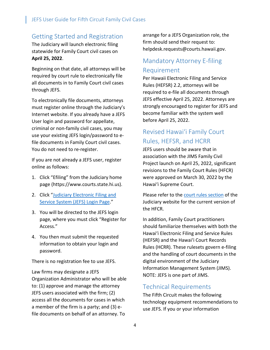#### <span id="page-4-0"></span>Getting Started and Registration

The Judiciary will launch electronic filing statewide for Family Court civil cases on **April 25, 2022**.

Beginning on that date, all attorneys will be required by court rule to electronically file all documents in to Family Court civil cases through JEFS.

To electronically file documents, attorneys must register online through the Judiciary's Internet website. If you already have a JEFS User login and password for appellate, criminal or non-family civil cases, you may use your existing JEFS login/password to efile documents in Family Court civil cases. You do not need to re-register.

If you are not already a JEFS user, register online as follows:

- 1. Click "Efiling" from the Judiciary home page (https://www.courts.state.hi.us).
- 2. Click ["Judiciary Electronic Filing and](https://www.courts.state.hi.us/legal_references/efiling)  [Service System \(JEFS\) Login Page.](https://www.courts.state.hi.us/legal_references/efiling)"
- 3. You will be directed to the JEFS login page, where you must click "Register for Access."
- 4. You then must submit the requested information to obtain your login and password.

There is no registration fee to use JEFS.

Law firms may designate a JEFS Organization Administrator who will be able to: (1) approve and manage the attorney JEFS users associated with the firm; (2) access all the documents for cases in which a member of the firm is a party; and (3) efile documents on behalf of an attorney. To

arrange for a JEFS Organization role, the firm should send their request to: helpdesk.requests@courts.hawaii.gov.

### <span id="page-4-1"></span>Mandatory Attorney E-filing Requirement

Per Hawaii Electronic Filing and Service Rules (HEFSR) 2.2, attorneys will be required to e-file all documents through JEFS effective April 25, 2022. Attorneys are strongly encouraged to register for JEFS and become familiar with the system well before April 25, 2022.

### <span id="page-4-2"></span>Revised Hawai'i Family Court Rules, HEFSR, and HCRR

JEFS users should be aware that in association with the JIMS Family Civil Project launch on April 25, 2022, significant revisions to the Family Court Rules (HFCR) were approved on March 30, 2022 by the Hawai'i Supreme Court.

Please refer to the [court rules section](https://www.courts.state.hi.us/legal_references/rules/rulesOfCourt) of the Judiciary website for the current version of the HFCR.

In addition, Family Court practitioners should familiarize themselves with both the Hawai'i Electronic Filing and Service Rules (HEFSR) and the Hawai'i Court Records Rules (HCRR). These rulesets govern e-filing and the handling of court documents in the digital environment of the Judiciary Information Management System (JIMS). NOTE: JEFS is one part of JIMS.

#### <span id="page-4-3"></span>Technical Requirements

The Fifth Circuit makes the following technology equipment recommendations to use JEFS. If you or your information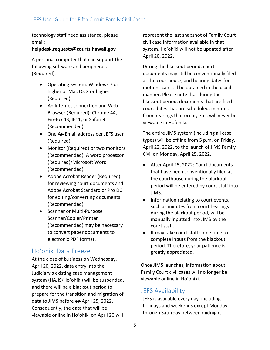technology staff need assistance, please email:

#### **helpdesk.requests@courts.hawaii.gov**

A personal computer that can support the following software and peripherals (Required).

- Operating System: Windows 7 or higher or Mac OS X or higher (Required).
- An Internet connection and Web Browser (Required): Chrome 44, Firefox 43, IE11, or Safari 9 (Recommended).
- One An Email address per JEFS user (Required).
- Monitor (Required) or two monitors (Recommended). A word processor (Required)/Microsoft Word (Recommended).
- Adobe Acrobat Reader (Required) for reviewing court documents and Adobe Acrobat Standard or Pro DC for editing/converting documents (Recommended).
- Scanner or Multi-Purpose Scanner/Copier/Printer (Recommended) may be necessary to convert paper documents to electronic PDF format.

### <span id="page-5-0"></span>Ho'ohiki Data Freeze

At the close of business on Wednesday, April 20, 2022, data entry into the Judiciary's existing case management system (HAJIS/Ho'ohiki) will be suspended, and there will be a blackout period to prepare for the transition and migration of data to JIMS before on April 25, 2022. Consequently, the data that will be viewable online in Hoʻohiki on April 20 will

represent the last snapshot of Family Court civil case information available in that system. Ho'ohiki will not be updated after April 20, 2022.

During the blackout period, court documents may still be conventionally filed at the courthouse, and hearing dates for motions can still be obtained in the usual manner. Please note that during the blackout period, documents that are filed court dates that are scheduled, minutes from hearings that occur, etc., will never be viewable in Hoʻohiki.

The entire JIMS system (including all case types) will be offline from 5 p.m. on Friday, April 22, 2022, to the launch of JIMS Family Civil on Monday, April 25, 2022.

- After April 25, 2022: Court documents that have been conventionally filed at the courthouse during the blackout period will be entered by court staff into JIMS.
- Information relating to court events, such as minutes from court hearings during the blackout period, will be manually inputted into JIMS by the court staff.
- It may take court staff some time to complete inputs from the blackout period. Therefore, your patience is greatly appreciated.

Once JIMS launches, information about Family Court civil cases will no longer be viewable online in Hoʻohiki.

#### <span id="page-5-1"></span>JEFS Availability

JEFS is available every day, including holidays and weekends except Monday through Saturday between midnight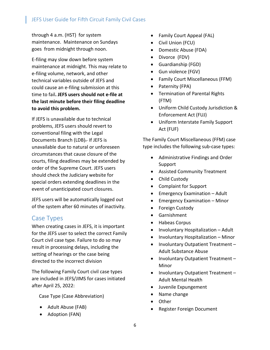through 4 a.m. (HST) for system maintenance. Maintenance on Sundays goes from midnight through noon.

E-filing may slow down before system maintenance at midnight. This may relate to e-filing volume, network, and other technical variables outside of JEFS and could cause an e-filing submission at this time to fail**. JEFS users should not e-file at the last minute before their filing deadline to avoid this problem.**

If JEFS is unavailable due to technical problems, JEFS users should revert to conventional filing with the Legal Documents Branch (LDB)- If JEFS is unavailable due to natural or unforeseen circumstances that cause closure of the courts, filing deadlines may be extended by order of the Supreme Court. JEFS users should check the Judiciary website for special orders extending deadlines in the event of unanticipated court closures.

JEFS users will be automatically logged out of the system after 60 minutes of inactivity.

#### <span id="page-6-0"></span>Case Types

When creating cases in JEFS, it is important for the JEFS user to select the correct Family Court civil case type. Failure to do so may result in processing delays, including the setting of hearings or the case being directed to the incorrect division

The following Family Court civil case types are included in JEFS/JIMS for cases initiated after April 25, 2022:

Case Type (Case Abbreviation)

- Adult Abuse (FAB)
- Adoption (FAN)
- Family Court Appeal (FAL)
- Civil Union (FCU)
- Domestic Abuse (FDA)
- Divorce (FDV)
- Guardianship (FGD)
- Gun violence (FGV)
- Family Court Miscellaneous (FFM)
- Paternity (FPA)
- Termination of Parental Rights (FTM)
- Uniform Child Custody Jurisdiction & Enforcement Act (FUJ)
- Uniform Interstate Family Support Act (FUF)

The Family Court Miscellaneous (FFM) case type includes the following sub-case types:

- Administrative Findings and Order Support
- Assisted Community Treatment
- Child Custody
- Complaint for Support
- Emergency Examination Adult
- Emergency Examination Minor
- Foreign Custody
- Garnishment
- Habeas Corpus
- Involuntary Hospitalization Adult
- Involuntary Hospitalization Minor
- Involuntary Outpatient Treatment Adult Substance Abuse
- Involuntary Outpatient Treatment Minor
- Involuntary Outpatient Treatment Adult Mental Health
- Juvenile Expungement
- Name change
- Other
- Register Foreign Document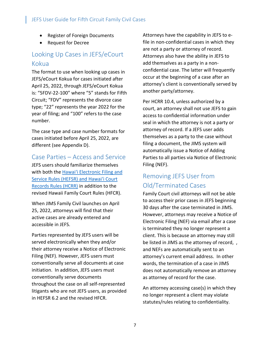- Register of Foreign Documents
- Request for Decree

### <span id="page-7-0"></span>Looking Up Cases in JEFS/eCourt Kokua

The format to use when looking up cases in JEFS/eCourt Kokua for cases initiated after April 25, 2022, through JEFS/eCourt Kokua is: "5FDV-22-100" where "5" stands for Fifth Circuit; "FDV" represents the divorce case type; "22" represents the year 2022 for the year of filing; and "100" refers to the case number.

The case type and case number formats for cases initiated before April 25, 2022, are different (see Appendix D).

#### <span id="page-7-1"></span>Case Parties – Access and Service

JEFS users should familiarize themselves with both the Hawai'i Electronic Filing and Service Rules [\(HEFSR\) and Hawai'i Court](https://www.courts.state.hi.us/legal_references/rules/rulesOfCourt)  [Records Rules](https://www.courts.state.hi.us/legal_references/rules/rulesOfCourt) (HCRR) in addition to the revised Hawaii Family Court Rules (HFCR).

When JIMS Family Civil launches on April 25, 2022, attorneys will find that their active cases are already entered and accessible in JEFS.

Parties represented by JEFS users will be served electronically when they and/or their attorney receive a Notice of Electronic Filing (NEF). However, JEFS users must conventionally serve all documents at case initiation. In addition, JEFS users must conventionally serve documents throughout the case on all self-represented litigants who are not JEFS users, as provided in HEFSR 6.2 and the revised HFCR.

Attorneys have the capability in JEFS to efile in non-confidential cases in which they are not a party or attorney of record. Attorneys also have the ability in JEFS to add themselves as a party in a nonconfidential case. The latter will frequently occur at the beginning of a case after an attorney's client is conventionally served by another party/attorney.

Per HCRR 10.4, unless authorized by a court, an attorney shall not use JEFS to gain access to confidential information under seal in which the attorney is not a party or attorney of record. If a JEFS user adds themselves as a party to the case without filing a document, the JIMS system will automatically issue a Notice of Adding Parties to all parties via Notice of Electronic Filing (NEF).

### <span id="page-7-2"></span>Removing JEFS User from Old/Terminated Cases

Family Court civil attorneys will not be able to access their prior cases in JEFS beginning 30 days after the case terminated in JIMS. However, attorneys may receive a Notice of Electronic Filing (NEF) via email after a case is terminated they no longer represent a client. This is because an attorney may still be listed in JIMS as the attorney of record, , and NEFs are automatically sent to an attorney's current email address. In other words, the termination of a case in JIMS does not automatically remove an attorney as attorney of record for the case.

An attorney accessing case(s) in which they no longer represent a client may violate statutes/rules relating to confidentiality.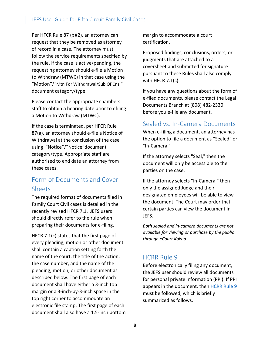Per HFCR Rule 87 (b)(2), an attorney can request that they be removed as attorney of record in a case. The attorney must follow the service requirements specified by the rule. If the case is active/pending, the requesting attorney should e-file a Motion to Withdraw (MTWC) in that case using the "Motion"/"Mtn For Withdrawal/Sub Of Cnsl" document category/type.

Please contact the appropriate chambers staff to obtain a hearing date prior to efiling a Motion to Withdraw (MTWC).

If the case is terminated, per HFCR Rule 87(a), an attorney should e-file a Notice of Withdrawal at the conclusion of the case using "Notice"/"Notice"document category/type. Appropriate staff are authorized to end date an attorney from these cases.

#### <span id="page-8-0"></span>Form of Documents and Cover Sheets

The required format of documents filed in Family Court Civil cases is detailed in the recently revised HFCR 7.1. JEFS users should directly refer to the rule when preparing their documents for e-filing.

HFCR 7.1(c) states that the first page of every pleading, motion or other document shall contain a caption setting forth the name of the court, the title of the action, the case number, and the name of the pleading, motion, or other document as described below. The first page of each document shall have either a 3-inch top margin or a 3-inch-by-3-inch space in the top right corner to accommodate an electronic file stamp. The first page of each document shall also have a 1.5-inch bottom margin to accommodate a court certification.

Proposed findings, conclusions, orders, or judgments that are attached to a coversheet and submitted for signature pursuant to these Rules shall also comply with HFCR 7.1(c).

If you have any questions about the form of e-filed documents, please contact the Legal Documents Branch at (808) 482-2330 before you e-file any document.

#### <span id="page-8-1"></span>Sealed vs. In-Camera Documents

When e-filing a document, an attorney has the option to file a document as "Sealed" or "In-Camera."

If the attorney selects "Seal," then the document will only be accessible to the parties on the case.

If the attorney selects "In-Camera," then only the assigned Judge and their designated employees will be able to view the document. The Court may order that certain parties can view the document in JEFS.

*Both sealed and in-camera documents are not available for viewing or purchase by the public through eCourt Kokua.*

#### <span id="page-8-2"></span>HCRR Rule 9

Before electronically filing any document, the JEFS user should review all documents for personal private information (PPI). If PPI appears in the document, then [HCRR Rule 9](https://www.courts.state.hi.us/docs/court_rules/rules/hcrr.htm#Rule%209) must be followed, which is briefly summarized as follows.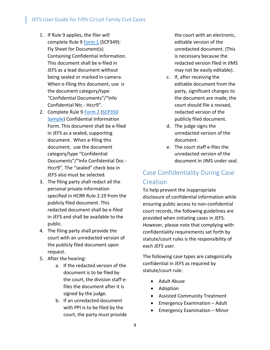- 1. If Rule 9 applies, the filer will complete Rule 9 [Form 1](https://www.courts.state.hi.us/docs/court_rules/rules/hcrr.htm#HCRR%20Form%201) (SCP349): Fly Sheet for Document(s) Containing Confidential Information. This document shall be e-filed in JEFS as a lead document without being sealed or marked in-camera. When e-filing this document, use is the document category/type "Confidential Documents"/"Info Confidential Ntc - Hccr9".
- 2. Complete Rule 9 [Form 2](https://www.courts.state.hi.us/docs/court_rules/rules/hcrr.htm#HCRR%20Form%202) [\(SCP350](https://www.courts.state.hi.us/docs/court_rules/rules/hcrr.htm#HCRR%20Form%202%20SAMPLE)  [Sample\)](https://www.courts.state.hi.us/docs/court_rules/rules/hcrr.htm#HCRR%20Form%202%20SAMPLE) Confidential Information Form. This document shall be e-filed in JEFS as a sealed, supporting document. When e-filing this document, use the document category/type "Confidential Documents"/"Info Confidential Doc - Hccr9". The "sealed" check box in JEFS also must be selected.
- 3. The filing party shall redact all the personal private information specified in HCRR Rule 2.19 from the publicly filed document. This redacted document shall be e-filed in JEFS and shall be available to the public.
- 4. The filing party shall provide the court with an unredacted version of the publicly filed document upon request.
- 5. After the hearing:
	- a. If the redacted version of the document is to be filed by the court, the division staff efiles the document after it is signed by the judge.
	- b. If an unredacted document with PPI is to be filed by the court, the party must provide

the court with an electronic, editable version of the unredacted document. (This is necessary because the redacted version filed in JIMS may not be easily editable).

- c. If, after receiving the editable document from the party, significant changes to the document are made, the court should file a revised, redacted version of the publicly filed document.
- d. The judge signs the unredacted version of the document.
- e. The court staff e-files the unredacted version of the document in JIMS under seal.

### <span id="page-9-0"></span>Case Confidentiality During Case **Creation**

To help prevent the inappropriate disclosure of confidential information while ensuring public access to non-confidential court records, the following guidelines are provided when initiating cases in JEFS. However, please note that complying with confidentiality requirements set forth by statute/court rules is the responsibility of each JEFS user.

The following case types are categorically confidential in JEFS as required by statute/court rule:

- Adult Abuse
- Adoption
- Assisted Community Treatment
- Emergency Examination Adult
- Emergency Examination Minor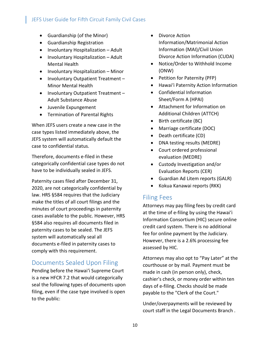- Guardianship (of the Minor)
- Guardianship Registration
- Involuntary Hospitalization Adult
- Involuntary Hospitalization Adult Mental Health
- Involuntary Hospitalization Minor
- Involuntary Outpatient Treatment Minor Mental Health
- Involuntary Outpatient Treatment Adult Substance Abuse
- Juvenile Expungement
- Termination of Parental Rights

When JEFS users create a new case in the case types listed immediately above, the JEFS system will automatically default the case to confidential status.

Therefore, documents e-filed in these categorically confidential case types do not have to be individually sealed in JEFS.

Paternity cases filed after December 31, 2020, are not categorically confidential by law. HRS §584 requires that the Judiciary make the titles of all court filings and the minutes of court proceedings in paternity cases available to the public. However, HRS §584 also requires all documents filed in paternity cases to be sealed. The JEFS system will automatically seal all documents e-filed in paternity cases to comply with this requirement.

#### <span id="page-10-0"></span>Documents Sealed Upon Filing

Pending before the Hawai'i Supreme Court is a new HFCR 7.2 that would categorically seal the following types of documents upon filing, even if the case type involved is open to the public:

- Divorce Action Information/Matrimonial Action Information (MAI)/Civil Union Divorce Action Information (CUDA)
- Notice/Order to Withhold Income (ONW)
- Petition for Paternity (PFP)
- Hawai'i Paternity Action Information
- Confidential Information Sheet/Form A (HPAI)
- Attachment for Information on Additional Children (ATTCH)
- Birth certificate (BC)
- Marriage certificate (DOC)
- Death certificate (CD)
- DNA testing results (MEDRE)
- Court ordered professional evaluation (MEDRE)
- Custody Investigation and/or Evaluation Reports (CER)
- Guardian Ad Litem reports (GALR)
- Kokua Kanawai reports (RKK)

#### <span id="page-10-1"></span>Filing Fees

Attorneys may pay filing fees by credit card at the time of e-filing by using the Hawaiʻi Information Consortium (HIC) secure online credit card system. There is no additional fee for online payment by the Judiciary. However, there is a 2.6% processing fee assessed by HIC.

Attorneys may also opt to "Pay Later" at the courthouse or by mail. Payment must be made in cash (in person only), check, cashier's check, or money order within ten days of e-filing. Checks should be made payable to the "Clerk of the Court."

Under/overpayments will be reviewed by court staff in the Legal Documents Branch .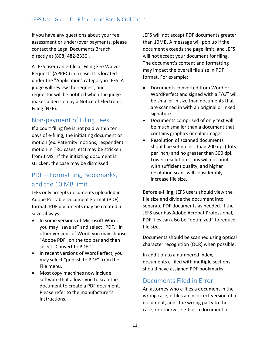If you have any questions about your fee assessment or under/over payments, please contact the Legal Documents Branch directly at (808) 482-2330 .

A JEFS user can e-file a "Filing Fee Waiver Request" (APPRC) in a case. It is located under the "Application" category in JEFS. A judge will review the request, and requestor will be notified when the judge makes a decision by a Notice of Electronic Filing (NEF).

#### <span id="page-11-0"></span>Non-payment of Filing Fees

If a court filing fee is not paid within ten days of e-filing, the initiating document or motion (ex. Paternity motions, respondent motion in TRO cases, etc) may be stricken from JIMS. If the initiating document is stricken, the case may be dismissed.

### <span id="page-11-1"></span>PDF – Formatting, Bookmarks, and the 10 MB limit

JEFS only accepts documents uploaded in Adobe Portable Document Format (PDF) format. PDF documents may be created in several ways:

- In some versions of Microsoft Word, you may "save as" and select "PDF." In other versions of Word, you may choose "Adobe PDF" on the toolbar and then select "Convert to PDF."
- In recent versions of WordPerfect, you may select "publish to PDF" from the File menu.
- Most copy machines now include software that allows you to scan the document to create a PDF document. Please refer to the manufacturer's instructions.

JEFS will not accept PDF documents greater than 10MB. A message will pop up if the document exceeds the page limit, and JEFS will not accept your document for filing. The document's content and formatting may impact the overall file size in PDF format. For example:

- Documents converted from Word or WordPerfect and signed with a "/s/" will be smaller in size than documents that are scanned in with an original or inked signature.
- Documents comprised of only text will be much smaller than a document that contains graphics or color images.
- Resolution of scanned documents should be set no less than 200 dpi (dots per inch) and no greater than 300 dpi. Lower resolution scans will not print with sufficient quality, and higher resolution scans will considerably increase file size.

Before e-filing, JEFS users should view the file size and divide the document into separate PDF documents as needed. If the JEFS user has Adobe Acrobat Professional, PDF files can also be "optimized" to reduce file size.

Documents should be scanned using optical character recognition (OCR) when possible.

In addition to a numbered index, documents e-filed with multiple sections should have assigned PDF bookmarks.

#### <span id="page-11-2"></span>Documents Filed in Error

An attorney who e-files a document in the wrong case, e-files an incorrect version of a document, adds the wrong party to the case, or otherwise e-files a document in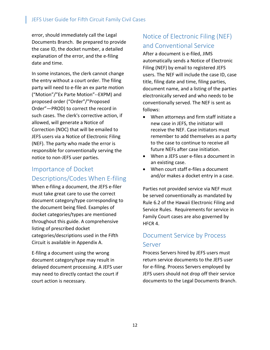error, should immediately call the Legal Documents Branch. Be prepared to provide the case ID, the docket number, a detailed explanation of the error, and the e-filing date and time.

In some instances, the clerk cannot change the entry without a court order. The filing party will need to e-file an ex parte motion ("Motion"/"Ex Parte Motion"--EXPM) and proposed order ("Order"/"Proposed Order"—PROD) to correct the record in such cases. The clerk's corrective action, if allowed, will generate a Notice of Correction (NOC) that will be emailed to JEFS users via a Notice of Electronic Filing (NEF). The party who made the error is responsible for conventionally serving the notice to non-JEFS user parties.

### <span id="page-12-0"></span>Importance of Docket Descriptions/Codes When E-filing

When e-filing a document, the JEFS e-filer must take great care to use the correct document category/type corresponding to the document being filed. Examples of docket categories/types are mentioned throughout this guide. A comprehensive listing of prescribed docket categories/descriptions used in the Fifth Circuit is available in Appendix A.

E-filing a document using the wrong document category/type may result in delayed document processing. A JEFS user may need to directly contact the court if court action is necessary.

### <span id="page-12-1"></span>Notice of Electronic Filing (NEF) and Conventional Service

After a document is e-filed, JIMS automatically sends a Notice of Electronic Filing (NEF) by email to registered JEFS users. The NEF will include the case ID, case title, filing date and time, filing parties, document name, and a listing of the parties electronically served and who needs to be conventionally served. The NEF is sent as follows:

- When attorneys and firm staff initiate a new case in JEFS, the initiator will receive the NEF. Case initiators must remember to add themselves as a party to the case to continue to receive all future NEFs after case initiation.
- When a JEFS user e-files a document in an existing case.
- When court staff e-files a document and/or makes a docket entry in a case.

Parties not provided service via NEF must be served conventionally as mandated by Rule 6.2 of the Hawaii Electronic Filing and Service Rules. Requirements for service in Family Court cases are also governed by HFCR 4.

## <span id="page-12-2"></span>Document Service by Process Server

Process Servers hired by JEFS users must return service documents to the JEFS user for e-filing. Process Servers employed by JEFS users should not drop off their service documents to the Legal Documents Branch.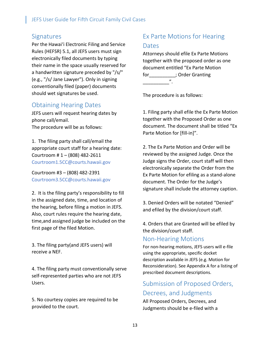#### <span id="page-13-0"></span>**Signatures**

Per the Hawai'i Electronic Filing and Service Rules (HEFSR) 5.1, all JEFS users must sign electronically filed documents by typing their name in the space usually reserved for a handwritten signature preceded by "/s/" (e.g., "/s/ Jane Lawyer"). Only in signing conventionally filed (paper) documents should wet signatures be used.

### <span id="page-13-1"></span>Obtaining Hearing Dates

JEFS users will request hearing dates by phone call/email. The procedure will be as follows:

1. The filing party shall call/email the appropriate court staff for a hearing date: Courtroom # 1 – (808) 482-2611 Courtroom1.5CC@courts.hawaii.gov

Courtroom #3 – (808) 482-2391 Courtroom3.5CC@courts.hawaii.gov

2. It is the filing party's responsibility to fill in the assigned date, time, and location of the hearing, before filing a motion in JEFS. Also, court rules require the hearing date, time,and assigned judge be included on the first page of the filed Motion.

3. The filing party(and JEFS users) will receive a NEF.

4. The filing party must conventionally serve self-represented parties who are not JEFS Users.

5. No courtesy copies are required to be provided to the court.

## <span id="page-13-2"></span>Ex Parte Motions for Hearing Dates

Attorneys should efile Ex Parte Motions together with the proposed order as one document entitled "Ex Parte Motion for\_\_\_\_\_\_\_\_\_\_; Order Granting \_\_\_\_\_\_\_\_\_\_".

The procedure is as follows:

1. Filing party shall efile the Ex Parte Motion together with the Proposed Order as one document. The document shall be titled "Ex Parte Motion for [fill-in]".

2. The Ex Parte Motion and Order will be reviewed by the assigned Judge. Once the Judge signs the Order, court staff will then electronically separate the Order from the Ex Parte Motion for efiling as a stand-alone document. The Order for the Judge's signature shall include the attorney caption.

3. Denied Orders will be notated "Denied" and efiled by the division/court staff.

4. Orders that are Granted will be efiled by the division/court staff.

#### <span id="page-13-3"></span>Non-Hearing Motions

For non-hearing motions, JEFS users will e-file using the appropriate, specific docket description available in JEFS (e.g. Motion for Reconsideration). See Appendix A for a listing of prescribed document descriptions.

### <span id="page-13-4"></span>Submission of Proposed Orders, Decrees, and Judgments

All Proposed Orders, Decrees, and Judgments should be e-filed with a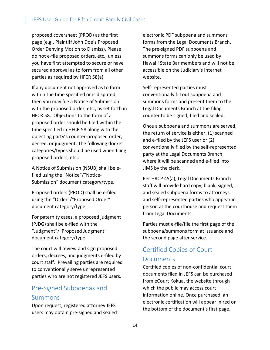proposed coversheet (PROD) as the first page (e.g., Plaintiff John Doe's Proposed Order Denying Motion to Dismiss). Please do not e-file proposed orders, etc., unless you have first attempted to secure or have secured approval as to form from all other parties as required by HFCR 58(a).

If any document not approved as to form within the time specified or is disputed, then you may file a Notice of Submission with the proposed order, etc., as set forth in HFCR 58. Objections to the form of a proposed order should be filed within the time specified in HFCR 58 along with the objecting party's counter-proposed order, decree, or judgment. The following docket categories/types should be used when filing proposed orders, etc.:

A Notice of Submission (NSUB) shall be efiled using the "Notice"/"Notice-Submission" document category/type.

Proposed orders (PROD) shall be e-filed using the "Order"/"Proposed Order" document category/type.

For paternity cases, a proposed judgment (PJDG) shall be e-filed with the "Judgment"/"Proposed Judgment" document category/type.

The court will review and sign proposed orders, decrees, and judgments e-filed by court staff. Prevailing parties are required to conventionally serve unrepresented parties who are not registered JEFS users.

### <span id="page-14-0"></span>Pre-Signed Subpoenas and Summons

Upon request, registered attorney JEFS users may obtain pre-signed and sealed

electronic PDF subpoena and summons forms from the Legal Documents Branch. The pre-signed PDF subpoena and summons forms can only be used by Hawai'i State Bar members and will not be accessible on the Judiciary's Internet website.

Self-represented parties must conventionally fill out subpoena and summons forms and present them to the Legal Documents Branch at the filing counter to be signed, filed and sealed.

Once a subpoena and summons are served, the return of service is either: (1) scanned and e-filed by the JEFS user or (2) conventionally filed by the self-represented party at the Legal Documents Branch, where it will be scanned and e-filed into JIMS by the clerk.

Per HRCP 45(a), Legal Documents Branch staff will provide hard copy, blank, signed, and sealed subpoena forms to attorneys and self-represented parties who appear in person at the courthouse and request them from Legal Documents.

Parties must e-file/file the first page of the subpoena/summons form at issuance and the second page after service.

### <span id="page-14-1"></span>Certified Copies of Court Documents

Certified copies of non-confidential court documents filed in JEFS can be purchased from eCourt Kokua, the website through which the public may access court information online. Once purchased, an electronic certification will appear in red on the bottom of the document's first page.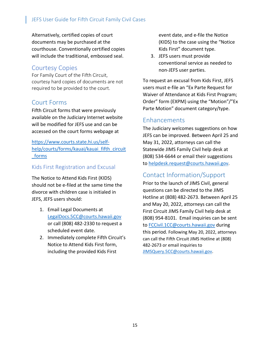Alternatively, certified copies of court documents may be purchased at the courthouse. Conventionally certified copies will include the traditional, embossed seal.

### Courtesy Copies

For Family Court of the Fifth Circuit, courtesy hard copies of documents are not required to be provided to the court.

### <span id="page-15-0"></span>Court Forms

Fifth Circuit forms that were previously available on the Judiciary Internet website will be modified for JEFS use and can be accessed on the court forms webpage at

[https://www.courts.state.hi.us/self](https://www.courts.state.hi.us/self-help/courts/forms/kauai/kauai_fifth_circuit_forms)[help/courts/forms/kauai/kauai\\_fifth\\_circuit](https://www.courts.state.hi.us/self-help/courts/forms/kauai/kauai_fifth_circuit_forms) [\\_forms](https://www.courts.state.hi.us/self-help/courts/forms/kauai/kauai_fifth_circuit_forms)

#### Kids First Registration and Excusal

The Notice to Attend Kids First (KIDS) should not be e-filed at the same time the divorce with children case is initialed in JEFS, JEFS users should:

- 1. Email Legal Documents at [LegalDocs.5CC@courts.hawaii.gov](mailto:LegalDocs.5CC@courts.hawaii.gov) or call (808) 482-2330 to request a scheduled event date.
- 2. Immediately complete Fifth Circuit's Notice to Attend Kids First form, including the provided Kids First

event date, and e-file the Notice (KIDS) to the case using the "Notice Kids First" document type.

3. JEFS users must provide conventional service as needed to non-JEFS user parties.

To request an excusal from Kids First, JEFS users must e-file an "Ex Parte Request for Waiver of Attendance at Kids First Program; Order" form (EXPM) using the "Motion"/"Ex Parte Motion" document category/type.

### Enhancements

The Judiciary welcomes suggestions on how JEFS can be improved. Between April 25 and May 31, 2022, attorneys can call the Statewide JIMS Family Civil help desk at (808) 534-6644 or email their suggestions to [helpdesk.request@courts.hawaii.gov.](mailto:helpdesk.request@courts.hawaii.gov)

### Contact Information/Support

Prior to the launch of JIMS Civil, general questions can be directed to the JIMS Hotline at (808) 482-2673. Between April 25 and May 20, 2022, attorneys can call the First Circuit JIMS Family Civil help desk at (808) 954-8101. Email inquiries can be sent to [FCCivil.1CC@courts.hawaii.gov](mailto:FCCivil.1CC@courts.hawaii.gov) during this period. Following May 20, 2022, attorneys can call the Fifth Circuit JIMS Hotline at (808) 482-2673 or email inquiries to [JIMSQuery.5CC@courts.hawaii.gov.](mailto:JIMSQuery.5CC@courts.hawaii.gov)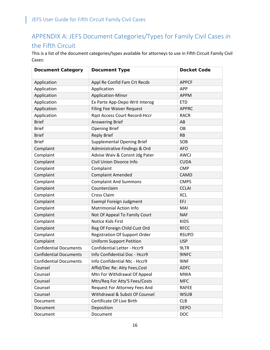## <span id="page-16-0"></span>APPENDIX A: JEFS Document Categories/Types for Family Civil Cases in the Fifth Circuit

This is a list of the document categories/types available for attorneys to use in Fifth Circuit Family Civil Cases:

| <b>Document Category</b>      | <b>Document Type</b>                 | <b>Docket Code</b> |
|-------------------------------|--------------------------------------|--------------------|
| Application                   | Appl Re Confid Fam Crt Recds         | <b>APPCF</b>       |
| Application                   | Application                          | <b>APP</b>         |
| Application                   | Application-Minor                    | <b>APPM</b>        |
| Application                   | Ex Parte App-Depo Writ Interog       | <b>ETD</b>         |
| Application                   | <b>Filing Fee Waiver Request</b>     | <b>APPRC</b>       |
| Application                   | Rqst Access Court Record-Hccr        | <b>RACR</b>        |
| <b>Brief</b>                  | <b>Answering Brief</b>               | AB                 |
| <b>Brief</b>                  | <b>Opening Brief</b>                 | OB                 |
| <b>Brief</b>                  | <b>Reply Brief</b>                   | <b>RB</b>          |
| <b>Brief</b>                  | <b>Supplemental Opening Brief</b>    | SOB                |
| Complaint                     | Administrative Findings & Ord        | <b>AFO</b>         |
| Complaint                     | Advise Waiv & Consnt Jdg Pater       | <b>AWCJ</b>        |
| Complaint                     | Civil Union Divorce Info             | <b>CUDA</b>        |
| Complaint                     | Complaint                            | <b>CMP</b>         |
| Complaint                     | <b>Complaint Amended</b>             | <b>CAMD</b>        |
| Complaint                     | <b>Complaint And Summons</b>         | <b>CMPS</b>        |
| Complaint                     | Counterclaim                         | <b>CCLAI</b>       |
| Complaint                     | Cross Claim                          | <b>XCL</b>         |
| Complaint                     | <b>Exempl Foreign Judgment</b>       | <b>EFJ</b>         |
| Complaint                     | <b>Matrimonial Action Info</b>       | MAI                |
| Complaint                     | Not Of Appeal To Family Court        | <b>NAF</b>         |
| Complaint                     | Notice Kids First                    | <b>KIDS</b>        |
| Complaint                     | Reg Of Foreign Child Cust Ord        | <b>RFCC</b>        |
| Complaint                     | <b>Registration Of Support Order</b> | <b>RSUPO</b>       |
| Complaint                     | <b>Uniform Support Petition</b>      | <b>USP</b>         |
| <b>Confidential Documents</b> | <b>Confidential Letter - Hccr9</b>   | 9LTR               |
| <b>Confidential Documents</b> | Info Confidential Doc - Hccr9        | 9INFC              |
| <b>Confidential Documents</b> | Info Confidential Ntc - Hccr9        | 9INF               |
| Counsel                       | Affid/Dec Re: Atty Fees, Cost        | <b>ADFC</b>        |
| Counsel                       | Mtn For Withdrawal Of Appeal         | <b>MWA</b>         |
| Counsel                       | Mtn/Req For Atty'S Fees/Costs        | <b>MFC</b>         |
| Counsel                       | Request For Attorney Fees And        | <b>RAFEE</b>       |
| Counsel                       | Withdrawal & Substi Of Counsel       | <b>WSUB</b>        |
| Document                      | Certificate Of Live Birth            | <b>CLB</b>         |
| Document                      | Deposition                           | <b>DEPO</b>        |
| Document                      | Document                             | <b>DOC</b>         |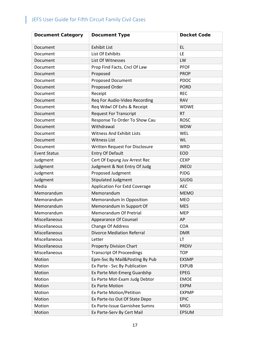| <b>Document Category</b> | <b>Document Type</b>                  | <b>Docket Code</b> |
|--------------------------|---------------------------------------|--------------------|
| Document                 | <b>Exhibit List</b>                   | EL.                |
| Document                 | List Of Exhibits                      | <b>LE</b>          |
| Document                 | List Of Witnesses                     | LW                 |
| Document                 | Prop Find Facts, Cncl Of Law          | <b>PFOF</b>        |
| Document                 | Proposed                              | <b>PROP</b>        |
| Document                 | <b>Proposed Document</b>              | <b>PDOC</b>        |
| Document                 | Proposed Order                        | <b>PORD</b>        |
| Document                 | Receipt                               | <b>REC</b>         |
| Document                 | Req For Audio-Video Recording         | <b>RAV</b>         |
| Document                 | Req Wdwl Of Exhs & Receipt            | <b>WDWE</b>        |
| Document                 | <b>Request For Transcript</b>         | <b>RT</b>          |
| Document                 | Response To Order To Show Cau         | <b>ROSC</b>        |
| Document                 | Withdrawal                            | <b>WDW</b>         |
| Document                 | <b>Witness And Exhibit Lists</b>      | <b>WEL</b>         |
| Document                 | <b>Witness List</b>                   | <b>WL</b>          |
| Document                 | <b>Written Request For Disclosure</b> | <b>WRD</b>         |
| <b>Event Status</b>      | <b>Entry Of Default</b>               | <b>EOD</b>         |
| Judgment                 | Cert Of Expung Juv Arrest Rec         | <b>CEXP</b>        |
| Judgment                 | Judgment & Not Entry Of Judg          | <b>JNEOJ</b>       |
| Judgment                 | Proposed Judgment                     | <b>PJDG</b>        |
| Judgment                 | Stipulated Judgment                   | <b>SJUDG</b>       |
| Media                    | <b>Application For Extd Coverage</b>  | <b>AEC</b>         |
| Memorandum               | Memorandum                            | <b>MEMO</b>        |
| Memorandum               | Memorandum In Opposition              | <b>MEO</b>         |
| Memorandum               | Memorandum In Support Of              | <b>MES</b>         |
| Memorandum               | Memorandum Of Pretrial                | <b>MEP</b>         |
| Miscellaneous            | Appearance Of Counsel                 | AP                 |
| Miscellaneous            | <b>Change Of Address</b>              | <b>COA</b>         |
| Miscellaneous            | <b>Divorce Mediation Referral</b>     | <b>DMR</b>         |
| Miscellaneous            | Letter                                | LT                 |
| Miscellaneous            | <b>Property Division Chart</b>        | <b>PRDIV</b>       |
| Miscellaneous            | <b>Transcript Of Proceedings</b>      | <b>TOP</b>         |
| Motion                   | Epm-Svc By Mail&Posting By Pub        | <b>EXSMP</b>       |
| Motion                   | Ex Parte - Svc By Publication         | <b>EXPUB</b>       |
| Motion                   | Ex Parte Mot-Emerg Guardshp           | <b>EPEG</b>        |
| Motion                   | Ex Parte Mot-Exam Judg Debtor         | <b>EMOE</b>        |
| Motion                   | <b>Ex Parte Motion</b>                | <b>EXPM</b>        |
| Motion                   | <b>Ex Parte Motion/Petition</b>       | <b>EXPMP</b>       |
| Motion                   | Ex Parte-Iss Out Of State Depo        | <b>EPIC</b>        |
| Motion                   | Ex Parte-Issue Garnishee Sumns        | <b>MIGS</b>        |
| Motion                   | Ex Parte-Serv By Cert Mail            | <b>EPSUM</b>       |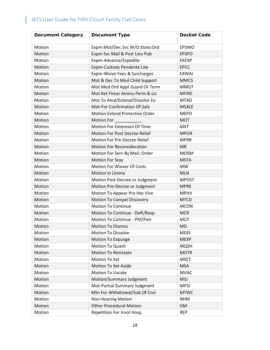| <b>Document Category</b> | <b>Document Type</b>                | <b>Docket Code</b> |
|--------------------------|-------------------------------------|--------------------|
| Motion                   | Expm Mot/Dec Svc W/O State;Ord      | EPSWO              |
| Motion                   | Expm Svc Mail & Post Lieu Pub       | <b>EPSPO</b>       |
| Motion                   | Expm-Advance/Expedite               | <b>EXEXP</b>       |
| Motion                   | Expm-Custody Pendente Lite          | <b>EPCC</b>        |
| Motion                   | Expm-Waive Fees & Surcharges        | <b>EXWAI</b>       |
| Motion                   | Mot & Dec To Mod Child Support      | <b>MMCS</b>        |
| Motion                   | Mot Mod Ord Appt Guard Or Term      | <b>MMGT</b>        |
| Motion                   | Mot Ret Firear Ammu Perm & Lic      | <b>MFIRE</b>       |
| Motion                   | Mot To Amd/Extend/Dissolve Eo       | <b>MTAD</b>        |
| Motion                   | Mot-For Confirmation Of Sale        | <b>MSALE</b>       |
| Motion                   | Motion Extend Protective Order      | <b>MEPO</b>        |
| Motion                   | Motion For                          | <b>MOT</b>         |
| Motion                   | <b>Motion For Extension Of Time</b> | <b>MXT</b>         |
| Motion                   | Motion For Post Decree Relief       | <b>MPOR</b>        |
| Motion                   | <b>Motion For Pre Decree Relief</b> | <b>MPRR</b>        |
| Motion                   | <b>Motion For Reconsideration</b>   | <b>MR</b>          |
| Motion                   | Motion For Serv By Mail; Order      | <b>MOSM</b>        |
| Motion                   | <b>Motion For Stay</b>              | <b>MSTA</b>        |
| Motion                   | <b>Motion For Waiver Of Costs</b>   | <b>MW</b>          |
| Motion                   | Motion In Limine                    | <b>MLN</b>         |
| Motion                   | Motion Post-Decree or Judgment      | <b>MPOST</b>       |
| Motion                   | Motion Pre-Decree or Judgment       | <b>MPRE</b>        |
| Motion                   | Motion To Appear Pro Hac Vice       | <b>MPHV</b>        |
| Motion                   | Motion To Compel Discovery          | <b>MTCD</b>        |
| Motion                   | <b>Motion To Continue</b>           | <b>MCON</b>        |
| Motion                   | Motion To Continue - Deft/Resp      | <b>MCR</b>         |
| Motion                   | Motion To Continue - Pltf/Petr      | <b>MCP</b>         |
| Motion                   | <b>Motion To Dismiss</b>            | <b>MD</b>          |
| Motion                   | <b>Motion To Dissolve</b>           | <b>MDIS</b>        |
| Motion                   | Motion To Expunge                   | <b>MEXP</b>        |
| Motion                   | Motion To Quash                     | <b>MQSH</b>        |
| Motion                   | <b>Motion To Reinstate</b>          | <b>MOTR</b>        |
| Motion                   | Motion To Set                       | <b>MSET</b>        |
| Motion                   | Motion To Set Aside                 | <b>MSA</b>         |
| Motion                   | <b>Motion To Vacate</b>             | <b>MVAC</b>        |
| Motion                   | Motion/Summary Judgment             | <b>MSJ</b>         |
| Motion                   | Mot-Partial Summary Judgment        | <b>MPSJ</b>        |
| Motion                   | Mtn For Withdrawal/Sub Of Cnsl      | <b>MTWC</b>        |
| Motion                   | <b>Non-Hearing Motion</b>           | <b>NHM</b>         |
| Motion                   | <b>Other Procedural Motion</b>      | <b>OM</b>          |
| Motion                   | Repetition For Invol Hosp           | <b>REP</b>         |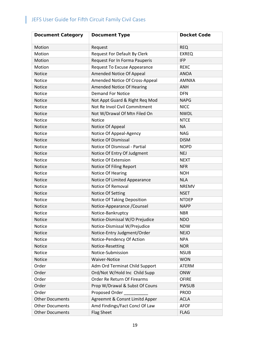| <b>Document Category</b> | <b>Document Type</b>                | <b>Docket Code</b> |
|--------------------------|-------------------------------------|--------------------|
| Motion                   | Request                             | <b>REQ</b>         |
| Motion                   | <b>Request For Default By Clerk</b> | <b>EXREQ</b>       |
| Motion                   | Request For In Forma Pauperis       | <b>IFP</b>         |
| Motion                   | Request To Excuse Appearance        | <b>REXC</b>        |
| Notice                   | Amended Notice Of Appeal            | <b>ANOA</b>        |
| Notice                   | Amended Notice Of Cross-Appeal      | <b>AMNXA</b>       |
| Notice                   | Amended Notice Of Hearing           | <b>ANH</b>         |
| Notice                   | <b>Demand For Notice</b>            | <b>DFN</b>         |
| Notice                   | Not Appt Guard & Right Req Mod      | <b>NAPG</b>        |
| Notice                   | Not Re Invol Civil Commitment       | <b>NICC</b>        |
| Notice                   | Not W/Drawal Of Mtn Filed On        | <b>NWDL</b>        |
| Notice                   | Notice                              | <b>NTCE</b>        |
| Notice                   | Notice Of Appeal                    | <b>NA</b>          |
| Notice                   | Notice Of Appeal-Agency             | <b>NAG</b>         |
| Notice                   | <b>Notice Of Dismissal</b>          | <b>DISM</b>        |
| Notice                   | Notice Of Dismissal - Partial       | <b>NOPD</b>        |
| <b>Notice</b>            | Notice Of Entry Of Judgment         | <b>NEJ</b>         |
| Notice                   | <b>Notice Of Extension</b>          | <b>NEXT</b>        |
| Notice                   | Notice Of Filing Report             | <b>NFR</b>         |
| Notice                   | Notice Of Hearing                   | <b>NOH</b>         |
| Notice                   | Notice Of Limited Appearance        | <b>NLA</b>         |
| Notice                   | Notice Of Removal                   | <b>NREMV</b>       |
| Notice                   | Notice Of Setting                   | <b>NSET</b>        |
| <b>Notice</b>            | <b>Notice Of Taking Deposition</b>  | <b>NTDEP</b>       |
| Notice                   | Notice-Appearance / Counsel         | <b>NAPP</b>        |
| Notice                   | Notice-Bankruptcy                   | <b>NBR</b>         |
| Notice                   | Notice-Dismissal W/O Prejudice      | <b>NDO</b>         |
| Notice                   | Notice-Dismissal W/Prejudice        | <b>NDW</b>         |
| Notice                   | Notice-Entry Judgment/Order         | <b>NEJO</b>        |
| Notice                   | Notice-Pendency Of Action           | <b>NPA</b>         |
| Notice                   | Notice-Resetting                    | <b>NOR</b>         |
| Notice                   | Notice-Submission                   | <b>NSUB</b>        |
| Notice                   | <b>Waiver-Notice</b>                | <b>WON</b>         |
| Order                    | Adm Ord Terminat Child Support      | <b>ATERM</b>       |
| Order                    | Ord/Not W/Hold Inc Child Supp       | <b>ONW</b>         |
| Order                    | Order Re Return Of Firearms         | <b>OFIRE</b>       |
| Order                    | Prop W/Drawal & Subst Of Couns      | <b>PWSUB</b>       |
| Order                    | Proposed Order                      | <b>PROD</b>        |
| <b>Other Documents</b>   | Agreemnt & Consnt Limitd Apper      | <b>ACLA</b>        |
| <b>Other Documents</b>   | Amd Findings/Fact Concl Of Law      | <b>AFOF</b>        |
| <b>Other Documents</b>   | <b>Flag Sheet</b>                   | <b>FLAG</b>        |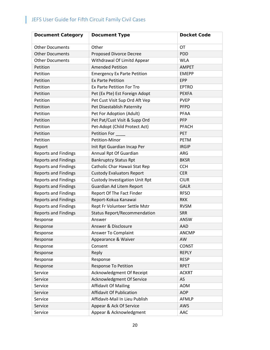| <b>Document Category</b>    | <b>Document Type</b>                  | <b>Docket Code</b> |
|-----------------------------|---------------------------------------|--------------------|
| <b>Other Documents</b>      | Other                                 | OT                 |
| <b>Other Documents</b>      | <b>Proposed Divorce Decree</b>        | <b>PDD</b>         |
| <b>Other Documents</b>      | Withdrawal Of Limitd Appear           | <b>WLA</b>         |
| Petition                    | <b>Amended Petition</b>               | <b>AMPET</b>       |
| Petition                    | <b>Emergency Ex Parte Petition</b>    | <b>EMEPP</b>       |
| Petition                    | <b>Ex Parte Petition</b>              | <b>EPP</b>         |
| Petition                    | <b>Ex Parte Petition For Tro</b>      | <b>EPTRO</b>       |
| Petition                    | Pet (Ex Pte) Est Foreign Adopt        | <b>PEXFA</b>       |
| Petition                    | Pet Cust Visit Sup Ord Aft Vep        | <b>PVEP</b>        |
| Petition                    | Pet Disestablish Paternity            | <b>PFPD</b>        |
| Petition                    | Pet For Adoption (Adult)              | <b>PFAA</b>        |
| Petition                    | Pet Pat/Cust Visit & Supp Ord         | <b>PFP</b>         |
| Petition                    | Pet-Adopt (Child Protect Act)         | <b>PFACH</b>       |
| Petition                    | Petition For                          | PET                |
| Petition                    | Petition-Minor                        | <b>PETM</b>        |
| Report                      | Init Rpt Guardian Incap Per           | <b>IRGIP</b>       |
| <b>Reports and Findings</b> | Annual Rpt Of Guardian                | ARG                |
| <b>Reports and Findings</b> | <b>Bankruptcy Status Rpt</b>          | <b>BKSR</b>        |
| <b>Reports and Findings</b> | Catholic Char Hawaii Stat Rep         | <b>CCH</b>         |
| <b>Reports and Findings</b> | <b>Custody Evaluators Report</b>      | <b>CER</b>         |
| <b>Reports and Findings</b> | <b>Custody Investigation Unit Rpt</b> | <b>CIUR</b>        |
| <b>Reports and Findings</b> | Guardian Ad Litem Report              | <b>GALR</b>        |
| <b>Reports and Findings</b> | Report Of The Fact Finder             | <b>RFSO</b>        |
| <b>Reports and Findings</b> | Report-Kokua Kanawai                  | <b>RKK</b>         |
| <b>Reports and Findings</b> | Rept Fr Volunteer Settle Mstr         | <b>RVSM</b>        |
| <b>Reports and Findings</b> | <b>Status Report/Recommendation</b>   | <b>SRR</b>         |
| Response                    | Answer                                | ANSW               |
| Response                    | Answer & Disclosure                   | <b>AAD</b>         |
| Response                    | Answer To Complaint                   | <b>ANCMP</b>       |
| Response                    | Appearance & Waiver                   | AW                 |
| Response                    | Consent                               | <b>CONST</b>       |
| Response                    | Reply                                 | <b>REPLY</b>       |
| Response                    | Response                              | <b>RESP</b>        |
| Response                    | <b>Response To Petition</b>           | <b>RPET</b>        |
| Service                     | Acknowledgment Of Receipt             | <b>ACKRT</b>       |
| Service                     | Acknowledgment Of Service             | AS                 |
| Service                     | <b>Affidavit Of Mailing</b>           | <b>AOM</b>         |
| Service                     | <b>Affidavit Of Publication</b>       | <b>AOP</b>         |
| Service                     | Affidavit-Mail In Lieu Publish        | AFMLP              |
| Service                     | Appear & Ack Of Service               | AWS                |
| Service                     | Appear & Acknowledgment               | <b>AAC</b>         |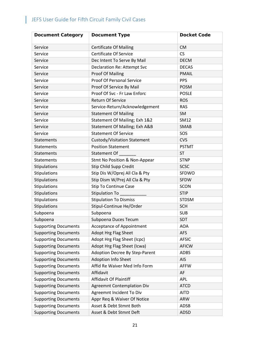| <b>Document Category</b>    | <b>Document Type</b>               | <b>Docket Code</b> |
|-----------------------------|------------------------------------|--------------------|
| Service                     | <b>Certificate Of Mailing</b>      | <b>CM</b>          |
| Service                     | <b>Certificate Of Service</b>      | CS                 |
| Service                     | Dec Intent To Serve By Mail        | <b>DECM</b>        |
| Service                     | <b>Declaration Re: Attempt Svc</b> | <b>DECAS</b>       |
| Service                     | <b>Proof Of Mailing</b>            | <b>PMAIL</b>       |
| Service                     | <b>Proof Of Personal Service</b>   | <b>PPS</b>         |
| Service                     | Proof Of Service By Mail           | <b>POSM</b>        |
| Service                     | Proof Of Svc - Fr Law Enforc       | <b>POSLE</b>       |
| Service                     | <b>Return Of Service</b>           | <b>ROS</b>         |
| Service                     | Service-Return/Acknowledgement     | <b>RAS</b>         |
| Service                     | <b>Statement Of Mailing</b>        | SM                 |
| Service                     | Statement Of Mailing; Exh 1&2      | SM12               |
| Service                     | Statement Of Mailing; Exh A&B      | <b>SMAB</b>        |
| Service                     | <b>Statement Of Service</b>        | SOS                |
| <b>Statements</b>           | Custody/Visitation Statement       | <b>CVS</b>         |
| <b>Statements</b>           | <b>Position Statement</b>          | <b>PSTMT</b>       |
| <b>Statements</b>           | Statement Of                       | <b>ST</b>          |
| Statements                  | Stmt No Position & Non-Appear      | <b>STNP</b>        |
| Stipulations                | <b>Stip Child Supp Credit</b>      | <b>SCSC</b>        |
| Stipulations                | Stip Dis W/Oprej All Cla & Pty     | SFDWO              |
| Stipulations                | Stip Dism W/Prej All Cla & Pty     | <b>SFDW</b>        |
| Stipulations                | <b>Stip To Continue Case</b>       | <b>SCON</b>        |
| Stipulations                | <b>Stipulation To</b>              | <b>STIP</b>        |
| Stipulations                | <b>Stipulation To Dismiss</b>      | <b>STDSM</b>       |
| Stipulations                | Stipul-Continue He/Order           | <b>SCH</b>         |
| Subpoena                    | Subpoena                           | <b>SUB</b>         |
| Subpoena                    | Subpoena Duces Tecum               | SDT                |
| <b>Supporting Documents</b> | <b>Acceptance of Appointment</b>   | <b>AOA</b>         |
| <b>Supporting Documents</b> | Adopt Hrg Flag Sheet               | <b>AFS</b>         |
| <b>Supporting Documents</b> | Adopt Hrg Flag Sheet (Icpc)        | <b>AFSIC</b>       |
| <b>Supporting Documents</b> | Adopt Hrg Flag Sheet (Icwa)        | <b>AFICW</b>       |
| <b>Supporting Documents</b> | Adoption Decree By Step-Parent     | <b>ADBS</b>        |
| <b>Supporting Documents</b> | Adoption Info Sheet                | <b>AIS</b>         |
| <b>Supporting Documents</b> | Affid Re Waiver Med Info Form      | <b>AFFW</b>        |
| <b>Supporting Documents</b> | Affidavit                          | AF                 |
| <b>Supporting Documents</b> | Affidavit Of Plaintiff             | <b>APL</b>         |
| <b>Supporting Documents</b> | <b>Agreemnt Contemplation Div</b>  | <b>ATCD</b>        |
| <b>Supporting Documents</b> | Agreemnt Incident To Div           | <b>AITD</b>        |
| <b>Supporting Documents</b> | Appr Req & Waiver Of Notice        | <b>ARW</b>         |
| <b>Supporting Documents</b> | Asset & Debt Stmnt Both            | ADSB               |
| <b>Supporting Documents</b> | Asset & Debt Stmnt Deft            | <b>ADSD</b>        |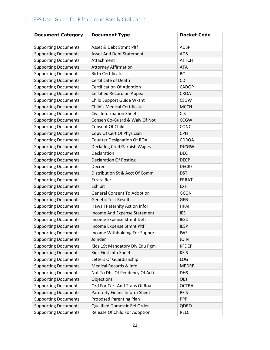| <b>Document Category</b>    | <b>Document Type</b>               | <b>Docket Code</b> |
|-----------------------------|------------------------------------|--------------------|
| <b>Supporting Documents</b> | Asset & Debt Stmnt Pltf            | <b>ADSP</b>        |
| <b>Supporting Documents</b> | <b>Asset And Debt Statement</b>    | <b>ADS</b>         |
| <b>Supporting Documents</b> | Attachment                         | <b>ATTCH</b>       |
| <b>Supporting Documents</b> | <b>Attorney Affirmation</b>        | <b>ATA</b>         |
| <b>Supporting Documents</b> | <b>Birth Certificate</b>           | <b>BC</b>          |
| <b>Supporting Documents</b> | Certificate of Death               | CD                 |
| <b>Supporting Documents</b> | <b>Certification Of Adoption</b>   | CADOP              |
| <b>Supporting Documents</b> | Certified Record on Appeal         | <b>CROA</b>        |
| <b>Supporting Documents</b> | Child Support Guide Wksht          | <b>CSGW</b>        |
| <b>Supporting Documents</b> | <b>Child's Medical Certificate</b> | <b>MCCH</b>        |
| <b>Supporting Documents</b> | <b>Civil Information Sheet</b>     | <b>CIS</b>         |
| <b>Supporting Documents</b> | Consen Co-Guard & Waiv Of Not      | <b>CCGW</b>        |
| <b>Supporting Documents</b> | <b>Consent Of Child</b>            | CONC               |
| <b>Supporting Documents</b> | Copy Of Cert Of Physician          | <b>CPH</b>         |
| <b>Supporting Documents</b> | <b>Counter Designation Of ROA</b>  | <b>CDROA</b>       |
| <b>Supporting Documents</b> | Decla Jdg Cred Garnish Wages       | <b>DJCGW</b>       |
| <b>Supporting Documents</b> | Declaration                        | <b>DEC</b>         |
| <b>Supporting Documents</b> | <b>Declaration Of Posting</b>      | <b>DECP</b>        |
| <b>Supporting Documents</b> | Decree                             | <b>DECRE</b>       |
| <b>Supporting Documents</b> | Distribution St & Acct Of Comm     | <b>DST</b>         |
| <b>Supporting Documents</b> | Errata Re:                         | <b>ERRAT</b>       |
| <b>Supporting Documents</b> | Exhibit                            | <b>EXH</b>         |
| <b>Supporting Documents</b> | <b>General Consent To Adoption</b> | <b>GCON</b>        |
| <b>Supporting Documents</b> | <b>Genetic Test Results</b>        | <b>GEN</b>         |
| <b>Supporting Documents</b> | Hawaii Paternity Action Infor      | <b>HPAI</b>        |
| <b>Supporting Documents</b> | Income And Expense Statement       | <b>IES</b>         |
| <b>Supporting Documents</b> | Income Expense Stmnt Deft          | <b>IESD</b>        |
| <b>Supporting Documents</b> | Income Expense Stmnt Pltf          | <b>IESP</b>        |
| <b>Supporting Documents</b> | Income Withholding For Support     | <b>IWS</b>         |
| <b>Supporting Documents</b> | Joinder                            | <b>JOIN</b>        |
| <b>Supporting Documents</b> | Kids 1St Mandatory Div Edu Pgm     | <b>KFDEP</b>       |
| <b>Supporting Documents</b> | Kids First Info Sheet              | <b>KFIS</b>        |
| <b>Supporting Documents</b> | Letters Of Guardianship            | LOG                |
| <b>Supporting Documents</b> | Medical Records & Info             | <b>MEDRE</b>       |
| <b>Supporting Documents</b> | Not To Dhs Of Pendency Of Acti     | <b>DHS</b>         |
| <b>Supporting Documents</b> | Objections                         | <b>OBJ</b>         |
| <b>Supporting Documents</b> | Ord For Cert And Trans Of Roa      | <b>OCTRA</b>       |
| <b>Supporting Documents</b> | Paternity Financ Inform Sheet      | <b>PFIS</b>        |
| <b>Supporting Documents</b> | <b>Proposed Parenting Plan</b>     | <b>PPP</b>         |
| <b>Supporting Documents</b> | Qualified Domestic Rel Order       | QDRO               |
| <b>Supporting Documents</b> | Release Of Child For Adoption      | <b>RELC</b>        |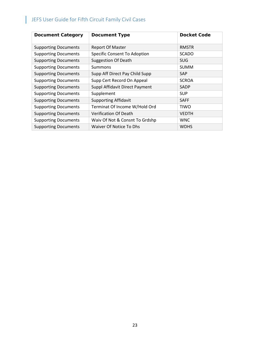| <b>Document Category</b>    | <b>Document Type</b>                | <b>Docket Code</b> |
|-----------------------------|-------------------------------------|--------------------|
| <b>Supporting Documents</b> | <b>Report Of Master</b>             | <b>RMSTR</b>       |
| <b>Supporting Documents</b> | <b>Specific Consent To Adoption</b> | <b>SCADO</b>       |
| <b>Supporting Documents</b> | <b>Suggestion Of Death</b>          | <b>SUG</b>         |
| <b>Supporting Documents</b> | Summons                             | <b>SUMM</b>        |
| <b>Supporting Documents</b> | Supp Aff Direct Pay Child Supp      | <b>SAP</b>         |
| <b>Supporting Documents</b> | Supp Cert Record On Appeal          | <b>SCROA</b>       |
| <b>Supporting Documents</b> | Suppl Affidavit Direct Payment      | <b>SADP</b>        |
| <b>Supporting Documents</b> | Supplement                          | <b>SUP</b>         |
| <b>Supporting Documents</b> | <b>Supporting Affidavit</b>         | <b>SAFF</b>        |
| <b>Supporting Documents</b> | Terminat Of Income W/Hold Ord       | <b>TIWO</b>        |
| <b>Supporting Documents</b> | <b>Verification Of Death</b>        | <b>VEDTH</b>       |
| <b>Supporting Documents</b> | Waiv Of Not & Consnt To Grdshp      | <b>WNC</b>         |
| <b>Supporting Documents</b> | Waiver Of Notice To Dhs             | <b>WDHS</b>        |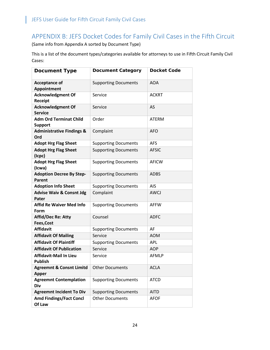### <span id="page-24-0"></span>APPENDIX B: JEFS Docket Codes for Family Civil Cases in the Fifth Circuit

(Same info from Appendix A sorted by Document Type)

This is a list of the document types/categories available for attorneys to use in Fifth Circuit Family Civil Cases:

| <b>Document Type</b>                                | <b>Document Category</b>    | <b>Docket Code</b> |
|-----------------------------------------------------|-----------------------------|--------------------|
| <b>Acceptance of</b><br>Appointment                 | <b>Supporting Documents</b> | <b>AOA</b>         |
| <b>Acknowledgment Of</b><br><b>Receipt</b>          | Service                     | <b>ACKRT</b>       |
| <b>Acknowledgment Of</b><br><b>Service</b>          | Service                     | <b>AS</b>          |
| <b>Adm Ord Terminat Child</b><br><b>Support</b>     | Order                       | <b>ATERM</b>       |
| <b>Administrative Findings &amp;</b><br>Ord         | Complaint                   | <b>AFO</b>         |
| <b>Adopt Hrg Flag Sheet</b>                         | <b>Supporting Documents</b> | <b>AFS</b>         |
| <b>Adopt Hrg Flag Sheet</b><br>(Icpc)               | <b>Supporting Documents</b> | <b>AFSIC</b>       |
| <b>Adopt Hrg Flag Sheet</b><br>(Icwa)               | <b>Supporting Documents</b> | <b>AFICW</b>       |
| <b>Adoption Decree By Step-</b><br>Parent           | <b>Supporting Documents</b> | <b>ADBS</b>        |
| <b>Adoption Info Sheet</b>                          | <b>Supporting Documents</b> | AIS                |
| <b>Advise Waiv &amp; Consnt Jdg</b><br>Pater        | Complaint                   | <b>AWCJ</b>        |
| <b>Affid Re Waiver Med Info</b><br>Form             | <b>Supporting Documents</b> | <b>AFFW</b>        |
| Affid/Dec Re: Atty<br>Fees, Cost                    | Counsel                     | <b>ADFC</b>        |
| <b>Affidavit</b>                                    | <b>Supporting Documents</b> | AF                 |
| <b>Affidavit Of Mailing</b>                         | Service                     | <b>AOM</b>         |
| <b>Affidavit Of Plaintiff</b>                       | <b>Supporting Documents</b> | <b>APL</b>         |
| <b>Affidavit Of Publication</b>                     | Service                     | <b>AOP</b>         |
| <b>Affidavit-Mail In Lieu</b><br><b>Publish</b>     | Service                     | <b>AFMLP</b>       |
| <b>Agreemnt &amp; Consnt Limitd</b><br><b>Apper</b> | <b>Other Documents</b>      | <b>ACLA</b>        |
| <b>Agreemnt Contemplation</b><br>Div                | <b>Supporting Documents</b> | <b>ATCD</b>        |
| <b>Agreemnt Incident To Div</b>                     | <b>Supporting Documents</b> | <b>AITD</b>        |
| <b>Amd Findings/Fact Concl</b><br>Of Law            | <b>Other Documents</b>      | <b>AFOF</b>        |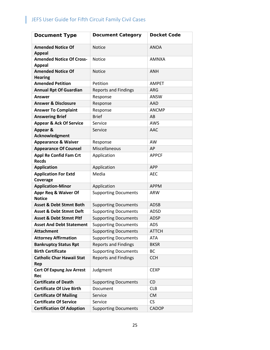| <b>Document Type</b>                             | <b>Document Category</b>    | <b>Docket Code</b> |
|--------------------------------------------------|-----------------------------|--------------------|
| <b>Amended Notice Of</b><br><b>Appeal</b>        | <b>Notice</b>               | <b>ANOA</b>        |
| <b>Amended Notice Of Cross-</b><br><b>Appeal</b> | <b>Notice</b>               | <b>AMNXA</b>       |
| <b>Amended Notice Of</b><br><b>Hearing</b>       | <b>Notice</b>               | <b>ANH</b>         |
| <b>Amended Petition</b>                          | Petition                    | <b>AMPET</b>       |
| <b>Annual Rpt Of Guardian</b>                    | <b>Reports and Findings</b> | <b>ARG</b>         |
| <b>Answer</b>                                    | Response                    | <b>ANSW</b>        |
| <b>Answer &amp; Disclosure</b>                   | Response                    | AAD                |
| <b>Answer To Complaint</b>                       | Response                    | <b>ANCMP</b>       |
| <b>Answering Brief</b>                           | <b>Brief</b>                | AB                 |
| <b>Appear &amp; Ack Of Service</b>               | Service                     | <b>AWS</b>         |
| Appear &<br>Acknowledgment                       | Service                     | AAC                |
| <b>Appearance &amp; Waiver</b>                   | Response                    | AW                 |
| <b>Appearance Of Counsel</b>                     | Miscellaneous               | AP                 |
| <b>Appl Re Confid Fam Crt</b><br><b>Recds</b>    | Application                 | <b>APPCF</b>       |
| <b>Application</b>                               | Application                 | <b>APP</b>         |
| <b>Application For Extd</b><br>Coverage          | Media                       | <b>AEC</b>         |
| <b>Application-Minor</b>                         | Application                 | <b>APPM</b>        |
| <b>Appr Req &amp; Waiver Of</b><br><b>Notice</b> | <b>Supporting Documents</b> | ARW                |
| <b>Asset &amp; Debt Stmnt Both</b>               | <b>Supporting Documents</b> | <b>ADSB</b>        |
| <b>Asset &amp; Debt Stmnt Deft</b>               | <b>Supporting Documents</b> | ADSD               |
| <b>Asset &amp; Debt Stmnt Pltf</b>               | <b>Supporting Documents</b> | <b>ADSP</b>        |
| <b>Asset And Debt Statement</b>                  | <b>Supporting Documents</b> | <b>ADS</b>         |
| <b>Attachment</b>                                | <b>Supporting Documents</b> | <b>ATTCH</b>       |
| <b>Attorney Affirmation</b>                      | <b>Supporting Documents</b> | <b>ATA</b>         |
| <b>Bankruptcy Status Rpt</b>                     | <b>Reports and Findings</b> | <b>BKSR</b>        |
| <b>Birth Certificate</b>                         | <b>Supporting Documents</b> | BC                 |
| <b>Catholic Char Hawaii Stat</b><br>Rep          | <b>Reports and Findings</b> | <b>CCH</b>         |
| <b>Cert Of Expung Juv Arrest</b><br>Rec          | Judgment                    | <b>CEXP</b>        |
| <b>Certificate of Death</b>                      | <b>Supporting Documents</b> | CD                 |
| <b>Certificate Of Live Birth</b>                 | Document                    | <b>CLB</b>         |
| <b>Certificate Of Mailing</b>                    | Service                     | <b>CM</b>          |
| <b>Certificate Of Service</b>                    | Service                     | <b>CS</b>          |
| <b>Certification Of Adoption</b>                 | <b>Supporting Documents</b> | CADOP              |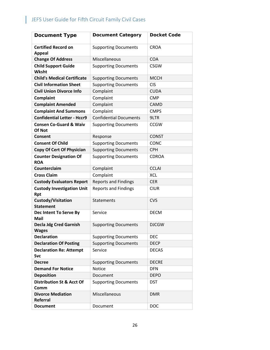| <b>Document Type</b>                            | <b>Document Category</b>      | <b>Docket Code</b> |
|-------------------------------------------------|-------------------------------|--------------------|
| <b>Certified Record on</b><br><b>Appeal</b>     | <b>Supporting Documents</b>   | <b>CROA</b>        |
| <b>Change Of Address</b>                        | Miscellaneous                 | <b>COA</b>         |
| <b>Child Support Guide</b><br>Wksht             | <b>Supporting Documents</b>   | <b>CSGW</b>        |
| <b>Child's Medical Certificate</b>              | <b>Supporting Documents</b>   | <b>MCCH</b>        |
| <b>Civil Information Sheet</b>                  | <b>Supporting Documents</b>   | <b>CIS</b>         |
| <b>Civil Union Divorce Info</b>                 | Complaint                     | <b>CUDA</b>        |
| Complaint                                       | Complaint                     | <b>CMP</b>         |
| <b>Complaint Amended</b>                        | Complaint                     | CAMD               |
| <b>Complaint And Summons</b>                    | Complaint                     | <b>CMPS</b>        |
| <b>Confidential Letter - Hccr9</b>              | <b>Confidential Documents</b> | 9LTR               |
| <b>Consen Co-Guard &amp; Waiv</b><br>Of Not     | <b>Supporting Documents</b>   | <b>CCGW</b>        |
| Consent                                         | Response                      | <b>CONST</b>       |
| <b>Consent Of Child</b>                         | <b>Supporting Documents</b>   | <b>CONC</b>        |
| <b>Copy Of Cert Of Physician</b>                | <b>Supporting Documents</b>   | <b>CPH</b>         |
| <b>Counter Designation Of</b><br><b>ROA</b>     | <b>Supporting Documents</b>   | <b>CDROA</b>       |
| Counterclaim                                    | Complaint                     | <b>CCLAI</b>       |
| <b>Cross Claim</b>                              | Complaint                     | <b>XCL</b>         |
| <b>Custody Evaluators Report</b>                | <b>Reports and Findings</b>   | <b>CER</b>         |
| <b>Custody Investigation Unit</b><br><b>Rpt</b> | <b>Reports and Findings</b>   | <b>CIUR</b>        |
| Custody/Visitation<br><b>Statement</b>          | <b>Statements</b>             | <b>CVS</b>         |
| Dec Intent To Serve By<br><b>Mail</b>           | Service                       | <b>DECM</b>        |
| <b>Decla Jdg Cred Garnish</b><br>Wages          | <b>Supporting Documents</b>   | <b>DJCGW</b>       |
| <b>Declaration</b>                              | <b>Supporting Documents</b>   | <b>DEC</b>         |
| <b>Declaration Of Posting</b>                   | <b>Supporting Documents</b>   | <b>DECP</b>        |
| <b>Declaration Re: Attempt</b><br><b>Svc</b>    | Service                       | <b>DECAS</b>       |
| <b>Decree</b>                                   | <b>Supporting Documents</b>   | <b>DECRE</b>       |
| <b>Demand For Notice</b>                        | Notice                        | <b>DFN</b>         |
| <b>Deposition</b>                               | Document                      | <b>DEPO</b>        |
| <b>Distribution St &amp; Acct Of</b><br>Comm    | <b>Supporting Documents</b>   | <b>DST</b>         |
| <b>Divorce Mediation</b><br><b>Referral</b>     | Miscellaneous                 | <b>DMR</b>         |
| <b>Document</b>                                 | Document                      | <b>DOC</b>         |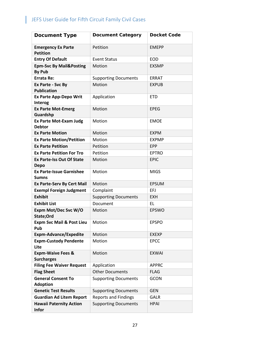| <b>Document Type</b>                                | <b>Document Category</b>    | <b>Docket Code</b> |
|-----------------------------------------------------|-----------------------------|--------------------|
| <b>Emergency Ex Parte</b><br><b>Petition</b>        | Petition                    | <b>EMEPP</b>       |
| <b>Entry Of Default</b>                             | <b>Event Status</b>         | <b>EOD</b>         |
| <b>Epm-Svc By Mail&amp;Posting</b><br><b>By Pub</b> | Motion                      | <b>EXSMP</b>       |
| <b>Errata Re:</b>                                   | <b>Supporting Documents</b> | <b>ERRAT</b>       |
| Ex Parte - Svc By<br><b>Publication</b>             | Motion                      | <b>EXPUB</b>       |
| <b>Ex Parte App-Depo Writ</b><br>Interog            | Application                 | <b>ETD</b>         |
| <b>Ex Parte Mot-Emerg</b><br>Guardshp               | Motion                      | <b>EPEG</b>        |
| <b>Ex Parte Mot-Exam Judg</b><br><b>Debtor</b>      | Motion                      | <b>EMOE</b>        |
| <b>Ex Parte Motion</b>                              | Motion                      | <b>EXPM</b>        |
| <b>Ex Parte Motion/Petition</b>                     | Motion                      | <b>EXPMP</b>       |
| <b>Ex Parte Petition</b>                            | Petition                    | <b>EPP</b>         |
| <b>Ex Parte Petition For Tro</b>                    | Petition                    | <b>EPTRO</b>       |
| <b>Ex Parte-Iss Out Of State</b><br><b>Depo</b>     | Motion                      | <b>EPIC</b>        |
| <b>Ex Parte-Issue Garnishee</b><br><b>Sumns</b>     | Motion                      | <b>MIGS</b>        |
| <b>Ex Parte-Serv By Cert Mail</b>                   | Motion                      | <b>EPSUM</b>       |
| <b>Exempl Foreign Judgment</b>                      | Complaint                   | EFJ                |
| <b>Exhibit</b>                                      | <b>Supporting Documents</b> | <b>EXH</b>         |
| <b>Exhibit List</b>                                 | Document                    | EL                 |
| Expm Mot/Dec Svc W/O<br>State;Ord                   | Motion                      | <b>EPSWO</b>       |
| <b>Expm Svc Mail &amp; Post Lieu</b><br>Pub         | Motion                      | <b>EPSPO</b>       |
| <b>Expm-Advance/Expedite</b>                        | Motion                      | <b>EXEXP</b>       |
| <b>Expm-Custody Pendente</b><br>Lite                | Motion                      | <b>EPCC</b>        |
| <b>Expm-Waive Fees &amp;</b><br><b>Surcharges</b>   | Motion                      | <b>EXWAI</b>       |
| <b>Filing Fee Waiver Request</b>                    | Application                 | <b>APPRC</b>       |
| <b>Flag Sheet</b>                                   | <b>Other Documents</b>      | <b>FLAG</b>        |
| <b>General Consent To</b><br><b>Adoption</b>        | <b>Supporting Documents</b> | <b>GCON</b>        |
| <b>Genetic Test Results</b>                         | <b>Supporting Documents</b> | <b>GEN</b>         |
| <b>Guardian Ad Litem Report</b>                     | <b>Reports and Findings</b> | GALR               |
| <b>Hawaii Paternity Action</b><br><b>Infor</b>      | <b>Supporting Documents</b> | <b>HPAI</b>        |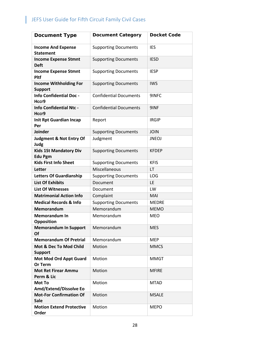| <b>Document Type</b>                            | <b>Document Category</b>      | <b>Docket Code</b> |
|-------------------------------------------------|-------------------------------|--------------------|
| <b>Income And Expense</b><br><b>Statement</b>   | <b>Supporting Documents</b>   | <b>IES</b>         |
| <b>Income Expense Stmnt</b><br><b>Deft</b>      | <b>Supporting Documents</b>   | <b>IESD</b>        |
| <b>Income Expense Stmnt</b><br><b>Pltf</b>      | <b>Supporting Documents</b>   | <b>IESP</b>        |
| <b>Income Withholding For</b><br><b>Support</b> | <b>Supporting Documents</b>   | <b>IWS</b>         |
| <b>Info Confidential Doc -</b><br>Hccr9         | <b>Confidential Documents</b> | 9INFC              |
| <b>Info Confidential Ntc -</b><br>Hccr9         | <b>Confidential Documents</b> | 9INF               |
| <b>Init Rpt Guardian Incap</b><br>Per           | Report                        | <b>IRGIP</b>       |
| Joinder                                         | <b>Supporting Documents</b>   | <b>JOIN</b>        |
| <b>Judgment &amp; Not Entry Of</b><br>Judg      | Judgment                      | <b>JNEOJ</b>       |
| <b>Kids 1St Mandatory Div</b><br><b>Edu Pgm</b> | <b>Supporting Documents</b>   | <b>KFDEP</b>       |
| <b>Kids First Info Sheet</b>                    | <b>Supporting Documents</b>   | <b>KFIS</b>        |
| Letter                                          | Miscellaneous                 | LT                 |
| <b>Letters Of Guardianship</b>                  | <b>Supporting Documents</b>   | LOG                |
| <b>List Of Exhibits</b>                         | Document                      | LE                 |
| <b>List Of Witnesses</b>                        | Document                      | LW                 |
| <b>Matrimonial Action Info</b>                  | Complaint                     | MAI                |
| <b>Medical Records &amp; Info</b>               | <b>Supporting Documents</b>   | <b>MEDRE</b>       |
| <b>Memorandum</b>                               | Memorandum                    | <b>MEMO</b>        |
| <b>Memorandum In</b><br>Opposition              | Memorandum                    | <b>MEO</b>         |
| <b>Memorandum In Support</b><br><b>Of</b>       | Memorandum                    | <b>MES</b>         |
| <b>Memorandum Of Pretrial</b>                   | Memorandum                    | <b>MEP</b>         |
| Mot & Dec To Mod Child<br><b>Support</b>        | Motion                        | <b>MMCS</b>        |
| <b>Mot Mod Ord Appt Guard</b><br>Or Term        | Motion                        | <b>MMGT</b>        |
| <b>Mot Ret Firear Ammu</b><br>Perm & Lic        | Motion                        | <b>MFIRE</b>       |
| Mot To<br>Amd/Extend/Dissolve Eo                | Motion                        | <b>MTAD</b>        |
| <b>Mot-For Confirmation Of</b><br><b>Sale</b>   | Motion                        | <b>MSALE</b>       |
| <b>Motion Extend Protective</b><br>Order        | Motion                        | <b>MEPO</b>        |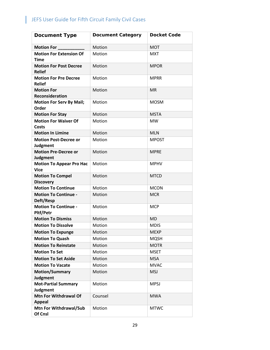| <b>Document Type</b>                            | <b>Document Category</b> | <b>Docket Code</b> |
|-------------------------------------------------|--------------------------|--------------------|
| Motion For                                      | Motion                   | <b>MOT</b>         |
| <b>Motion For Extension Of</b><br><b>Time</b>   | Motion                   | <b>MXT</b>         |
| <b>Motion For Post Decree</b><br><b>Relief</b>  | Motion                   | <b>MPOR</b>        |
| <b>Motion For Pre Decree</b><br><b>Relief</b>   | Motion                   | <b>MPRR</b>        |
| <b>Motion For</b><br><b>Reconsideration</b>     | Motion                   | <b>MR</b>          |
| <b>Motion For Serv By Mail;</b><br>Order        | Motion                   | <b>MOSM</b>        |
| <b>Motion For Stay</b>                          | Motion                   | <b>MSTA</b>        |
| <b>Motion For Waiver Of</b><br><b>Costs</b>     | Motion                   | <b>MW</b>          |
| <b>Motion In Limine</b>                         | Motion                   | <b>MLN</b>         |
| <b>Motion Post-Decree or</b><br><b>Judgment</b> | Motion                   | <b>MPOST</b>       |
| <b>Motion Pre-Decree or</b><br><b>Judgment</b>  | Motion                   | <b>MPRE</b>        |
| <b>Motion To Appear Pro Hac</b><br><b>Vice</b>  | Motion                   | <b>MPHV</b>        |
| <b>Motion To Compel</b><br><b>Discovery</b>     | Motion                   | <b>MTCD</b>        |
| <b>Motion To Continue</b>                       | Motion                   | <b>MCON</b>        |
| <b>Motion To Continue -</b><br>Deft/Resp        | Motion                   | <b>MCR</b>         |
| <b>Motion To Continue -</b><br>Pltf/Petr        | Motion                   | <b>MCP</b>         |
| <b>Motion To Dismiss</b>                        | Motion                   | <b>MD</b>          |
| <b>Motion To Dissolve</b>                       | Motion                   | <b>MDIS</b>        |
| <b>Motion To Expunge</b>                        | Motion                   | <b>MEXP</b>        |
| <b>Motion To Quash</b>                          | Motion                   | <b>MQSH</b>        |
| <b>Motion To Reinstate</b>                      | Motion                   | <b>MOTR</b>        |
| <b>Motion To Set</b>                            | Motion                   | <b>MSET</b>        |
| <b>Motion To Set Aside</b>                      | Motion                   | <b>MSA</b>         |
| <b>Motion To Vacate</b>                         | Motion                   | <b>MVAC</b>        |
| <b>Motion/Summary</b><br><b>Judgment</b>        | Motion                   | <b>MSJ</b>         |
| <b>Mot-Partial Summary</b><br>Judgment          | Motion                   | <b>MPSJ</b>        |
| <b>Mtn For Withdrawal Of</b><br><b>Appeal</b>   | Counsel                  | <b>MWA</b>         |
| Mtn For Withdrawal/Sub<br>Of Cnsl               | Motion                   | <b>MTWC</b>        |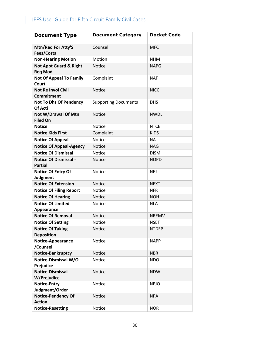| <b>Document Type</b>                                | <b>Document Category</b>    | <b>Docket Code</b> |
|-----------------------------------------------------|-----------------------------|--------------------|
| Mtn/Req For Atty'S<br>Fees/Costs                    | Counsel                     | <b>MFC</b>         |
| <b>Non-Hearing Motion</b>                           | Motion                      | <b>NHM</b>         |
| <b>Not Appt Guard &amp; Right</b><br><b>Reg Mod</b> | <b>Notice</b>               | <b>NAPG</b>        |
| <b>Not Of Appeal To Family</b><br>Court             | Complaint                   | <b>NAF</b>         |
| <b>Not Re Invol Civil</b><br><b>Commitment</b>      | <b>Notice</b>               | <b>NICC</b>        |
| <b>Not To Dhs Of Pendency</b><br>Of Acti            | <b>Supporting Documents</b> | <b>DHS</b>         |
| Not W/Drawal Of Mtn<br><b>Filed On</b>              | <b>Notice</b>               | <b>NWDL</b>        |
| <b>Notice</b>                                       | Notice                      | <b>NTCE</b>        |
| <b>Notice Kids First</b>                            | Complaint                   | <b>KIDS</b>        |
| <b>Notice Of Appeal</b>                             | Notice                      | <b>NA</b>          |
| <b>Notice Of Appeal-Agency</b>                      | <b>Notice</b>               | <b>NAG</b>         |
| <b>Notice Of Dismissal</b>                          | Notice                      | <b>DISM</b>        |
| <b>Notice Of Dismissal -</b><br><b>Partial</b>      | <b>Notice</b>               | <b>NOPD</b>        |
| <b>Notice Of Entry Of</b><br><b>Judgment</b>        | Notice                      | <b>NEJ</b>         |
| <b>Notice Of Extension</b>                          | <b>Notice</b>               | <b>NEXT</b>        |
| <b>Notice Of Filing Report</b>                      | Notice                      | <b>NFR</b>         |
| <b>Notice Of Hearing</b>                            | <b>Notice</b>               | <b>NOH</b>         |
| <b>Notice Of Limited</b><br>Appearance              | <b>Notice</b>               | <b>NLA</b>         |
| <b>Notice Of Removal</b>                            | <b>Notice</b>               | <b>NREMV</b>       |
| <b>Notice Of Setting</b>                            | Notice                      | <b>NSET</b>        |
| <b>Notice Of Taking</b><br><b>Deposition</b>        | <b>Notice</b>               | <b>NTDEP</b>       |
| Notice-Appearance<br>/Counsel                       | Notice                      | <b>NAPP</b>        |
| Notice-Bankruptcy                                   | <b>Notice</b>               | <b>NBR</b>         |
| Notice-Dismissal W/O<br>Prejudice                   | Notice                      | <b>NDO</b>         |
| <b>Notice-Dismissal</b><br>W/Prejudice              | Notice                      | <b>NDW</b>         |
| <b>Notice-Entry</b><br>Judgment/Order               | Notice                      | <b>NEJO</b>        |
| <b>Notice-Pendency Of</b><br><b>Action</b>          | Notice                      | <b>NPA</b>         |
| <b>Notice-Resetting</b>                             | Notice                      | <b>NOR</b>         |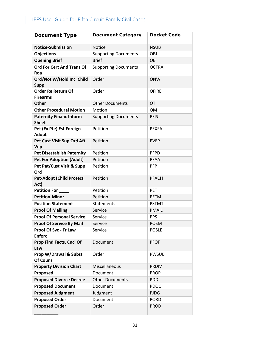| <b>Document Type</b>                           | <b>Document Category</b>    | <b>Docket Code</b> |
|------------------------------------------------|-----------------------------|--------------------|
| <b>Notice-Submission</b>                       | <b>Notice</b>               | <b>NSUB</b>        |
| <b>Objections</b>                              | <b>Supporting Documents</b> | <b>OBJ</b>         |
| <b>Opening Brief</b>                           | <b>Brief</b>                | <b>OB</b>          |
| <b>Ord For Cert And Trans Of</b><br>Roa        | <b>Supporting Documents</b> | <b>OCTRA</b>       |
| Ord/Not W/Hold Inc Child<br><b>Supp</b>        | Order                       | <b>ONW</b>         |
| <b>Order Re Return Of</b><br><b>Firearms</b>   | Order                       | <b>OFIRE</b>       |
| <b>Other</b>                                   | <b>Other Documents</b>      | <b>OT</b>          |
| <b>Other Procedural Motion</b>                 | Motion                      | <b>OM</b>          |
| <b>Paternity Financ Inform</b><br><b>Sheet</b> | <b>Supporting Documents</b> | <b>PFIS</b>        |
| Pet (Ex Pte) Est Foreign<br><b>Adopt</b>       | Petition                    | <b>PEXFA</b>       |
| Pet Cust Visit Sup Ord Aft<br>Vep              | Petition                    | <b>PVEP</b>        |
| <b>Pet Disestablish Paternity</b>              | Petition                    | <b>PFPD</b>        |
| <b>Pet For Adoption (Adult)</b>                | Petition                    | <b>PFAA</b>        |
| Pet Pat/Cust Visit & Supp<br>Ord               | Petition                    | <b>PFP</b>         |
| <b>Pet-Adopt (Child Protect</b><br>Act)        | Petition                    | <b>PFACH</b>       |
| <b>Petition For</b>                            | Petition                    | <b>PET</b>         |
| <b>Petition-Minor</b>                          | Petition                    | <b>PETM</b>        |
| <b>Position Statement</b>                      | Statements                  | <b>PSTMT</b>       |
| <b>Proof Of Mailing</b>                        | Service                     | <b>PMAIL</b>       |
| <b>Proof Of Personal Service</b>               | Service                     | <b>PPS</b>         |
| <b>Proof Of Service By Mail</b>                | Service                     | <b>POSM</b>        |
| Proof Of Svc - Fr Law<br><b>Enforc</b>         | Service                     | <b>POSLE</b>       |
| Prop Find Facts, Cncl Of<br>Law                | Document                    | <b>PFOF</b>        |
| Prop W/Drawal & Subst<br><b>Of Couns</b>       | Order                       | <b>PWSUB</b>       |
| <b>Property Division Chart</b>                 | Miscellaneous               | <b>PRDIV</b>       |
| Proposed                                       | Document                    | <b>PROP</b>        |
| <b>Proposed Divorce Decree</b>                 | <b>Other Documents</b>      | <b>PDD</b>         |
| <b>Proposed Document</b>                       | Document                    | <b>PDOC</b>        |
| <b>Proposed Judgment</b>                       | Judgment                    | <b>PJDG</b>        |
| <b>Proposed Order</b>                          | Document                    | <b>PORD</b>        |
| <b>Proposed Order</b>                          | Order                       | <b>PROD</b>        |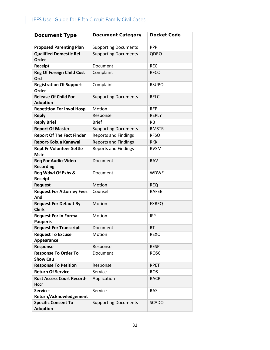| <b>Document Type</b>                            | <b>Document Category</b>    | <b>Docket Code</b> |
|-------------------------------------------------|-----------------------------|--------------------|
| <b>Proposed Parenting Plan</b>                  | <b>Supporting Documents</b> | <b>PPP</b>         |
| <b>Qualified Domestic Rel</b><br>Order          | <b>Supporting Documents</b> | QDRO               |
| <b>Receipt</b>                                  | Document                    | <b>REC</b>         |
| <b>Reg Of Foreign Child Cust</b><br>Ord         | Complaint                   | <b>RFCC</b>        |
| <b>Registration Of Support</b><br>Order         | Complaint                   | <b>RSUPO</b>       |
| <b>Release Of Child For</b><br><b>Adoption</b>  | <b>Supporting Documents</b> | <b>RELC</b>        |
| <b>Repetition For Invol Hosp</b>                | Motion                      | <b>REP</b>         |
| <b>Reply</b>                                    | Response                    | <b>REPLY</b>       |
| <b>Reply Brief</b>                              | <b>Brief</b>                | <b>RB</b>          |
| <b>Report Of Master</b>                         | <b>Supporting Documents</b> | <b>RMSTR</b>       |
| <b>Report Of The Fact Finder</b>                | <b>Reports and Findings</b> | <b>RFSO</b>        |
| Report-Kokua Kanawai                            | <b>Reports and Findings</b> | <b>RKK</b>         |
| <b>Rept Fr Volunteer Settle</b><br><b>Mstr</b>  | <b>Reports and Findings</b> | <b>RVSM</b>        |
| <b>Req For Audio-Video</b><br><b>Recording</b>  | Document                    | <b>RAV</b>         |
| <b>Req Wdwl Of Exhs &amp;</b><br>Receipt        | Document                    | <b>WDWE</b>        |
| <b>Request</b>                                  | Motion                      | <b>REQ</b>         |
| <b>Request For Attorney Fees</b><br>And         | Counsel                     | <b>RAFEE</b>       |
| <b>Request For Default By</b><br><b>Clerk</b>   | Motion                      | <b>EXREQ</b>       |
| <b>Request For In Forma</b><br><b>Pauperis</b>  | Motion                      | <b>IFP</b>         |
| <b>Request For Transcript</b>                   | Document                    | <b>RT</b>          |
| <b>Request To Excuse</b><br>Appearance          | Motion                      | <b>REXC</b>        |
| Response                                        | Response                    | <b>RESP</b>        |
| <b>Response To Order To</b><br><b>Show Cau</b>  | Document                    | <b>ROSC</b>        |
| <b>Response To Petition</b>                     | Response                    | <b>RPET</b>        |
| <b>Return Of Service</b>                        | Service                     | <b>ROS</b>         |
| <b>Rast Access Court Record-</b><br><b>Hccr</b> | Application                 | <b>RACR</b>        |
| Service-<br>Return/Acknowledgement              | Service                     | <b>RAS</b>         |
| <b>Specific Consent To</b><br><b>Adoption</b>   | <b>Supporting Documents</b> | <b>SCADO</b>       |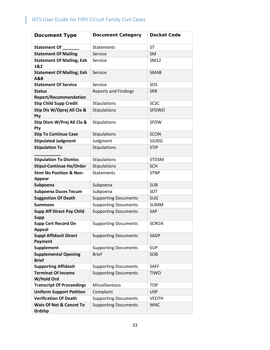| <b>Document Type</b>                                | <b>Document Category</b>    | <b>Docket Code</b> |
|-----------------------------------------------------|-----------------------------|--------------------|
| Statement Of                                        | Statements                  | <b>ST</b>          |
| <b>Statement Of Mailing</b>                         | Service                     | <b>SM</b>          |
| <b>Statement Of Mailing; Exh</b><br>1&2             | Service                     | SM12               |
| <b>Statement Of Mailing; Exh</b><br><b>A&amp;B</b>  | Service                     | <b>SMAB</b>        |
| <b>Statement Of Service</b>                         | Service                     | SOS                |
| <b>Status</b><br><b>Report/Recommendation</b>       | <b>Reports and Findings</b> | <b>SRR</b>         |
| <b>Stip Child Supp Credit</b>                       | Stipulations                | <b>SCSC</b>        |
| Stip Dis W/Oprej All Cla &<br>Pty                   | Stipulations                | SFDWO              |
| Stip Dism W/Prej All Cla &<br>Pty                   | Stipulations                | <b>SFDW</b>        |
| <b>Stip To Continue Case</b>                        | Stipulations                | <b>SCON</b>        |
| <b>Stipulated Judgment</b>                          | Judgment                    | <b>SJUDG</b>       |
| <b>Stipulation To</b>                               | Stipulations                | <b>STIP</b>        |
| <b>Stipulation To Dismiss</b>                       | Stipulations                | <b>STDSM</b>       |
| <b>Stipul-Continue He/Order</b>                     | Stipulations                | <b>SCH</b>         |
| <b>Stmt No Position &amp; Non-</b><br><b>Appear</b> | <b>Statements</b>           | <b>STNP</b>        |
| Subpoena                                            | Subpoena                    | <b>SUB</b>         |
| <b>Subpoena Duces Tecum</b>                         | Subpoena                    | <b>SDT</b>         |
| <b>Suggestion Of Death</b>                          | <b>Supporting Documents</b> | <b>SUG</b>         |
| <b>Summons</b>                                      | <b>Supporting Documents</b> | <b>SUMM</b>        |
| <b>Supp Aff Direct Pay Child</b><br><b>Supp</b>     | <b>Supporting Documents</b> | SAP                |
| <b>Supp Cert Record On</b><br>Appeal                | <b>Supporting Documents</b> | <b>SCROA</b>       |
| <b>Suppl Affidavit Direct</b><br>Payment            | <b>Supporting Documents</b> | <b>SADP</b>        |
| <b>Supplement</b>                                   | <b>Supporting Documents</b> | <b>SUP</b>         |
| <b>Supplemental Opening</b><br><b>Brief</b>         | <b>Brief</b>                | SOB                |
| <b>Supporting Affidavit</b>                         | <b>Supporting Documents</b> | <b>SAFF</b>        |
| <b>Terminat Of Income</b><br>W/Hold Ord             | <b>Supporting Documents</b> | <b>TIWO</b>        |
| <b>Transcript Of Proceedings</b>                    | Miscellaneous               | <b>TOP</b>         |
| <b>Uniform Support Petition</b>                     | Complaint                   | <b>USP</b>         |
| <b>Verification Of Death</b>                        | <b>Supporting Documents</b> | <b>VEDTH</b>       |
| <b>Waiv Of Not &amp; Consnt To</b><br>Grdshp        | <b>Supporting Documents</b> | <b>WNC</b>         |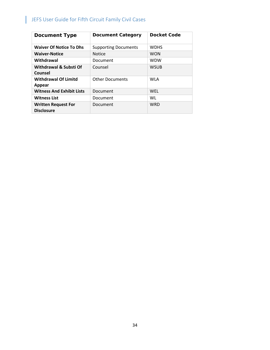| <b>Document Type</b>                            | <b>Document Category</b>    | <b>Docket Code</b> |
|-------------------------------------------------|-----------------------------|--------------------|
| <b>Waiver Of Notice To Dhs</b>                  | <b>Supporting Documents</b> | <b>WDHS</b>        |
| <b>Waiver-Notice</b>                            | <b>Notice</b>               | <b>WON</b>         |
| Withdrawal                                      | Document                    | <b>WDW</b>         |
| Withdrawal & Substi Of<br>Counsel               | Counsel                     | <b>WSUB</b>        |
| <b>Withdrawal Of Limitd</b><br>Appear           | <b>Other Documents</b>      | <b>WLA</b>         |
| <b>Witness And Exhibit Lists</b>                | Document                    | WEL                |
| <b>Witness List</b>                             | Document                    | WL                 |
| <b>Written Request For</b><br><b>Disclosure</b> | <b>Document</b>             | <b>WRD</b>         |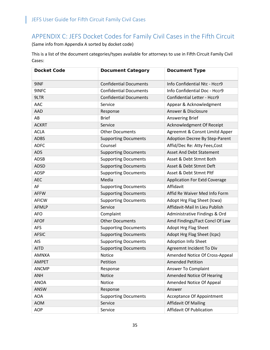### <span id="page-35-0"></span>APPENDIX C: JEFS Docket Codes for Family Civil Cases in the Fifth Circuit

(Same info from Appendix A sorted by docket code)

This is a list of the document categories/types available for attorneys to use in Fifth Circuit Family Civil Cases:

| <b>Docket Code</b> | <b>Document Category</b>      | <b>Document Type</b>                 |
|--------------------|-------------------------------|--------------------------------------|
| 9INF               | <b>Confidential Documents</b> | Info Confidential Ntc - Hccr9        |
| 9INFC              | <b>Confidential Documents</b> | Info Confidential Doc - Hccr9        |
| 9LTR               | <b>Confidential Documents</b> | Confidential Letter - Hccr9          |
| AAC                | Service                       | Appear & Acknowledgment              |
| <b>AAD</b>         | Response                      | Answer & Disclosure                  |
| AB                 | <b>Brief</b>                  | <b>Answering Brief</b>               |
| <b>ACKRT</b>       | Service                       | Acknowledgment Of Receipt            |
| <b>ACLA</b>        | <b>Other Documents</b>        | Agreemnt & Consnt Limitd Apper       |
| <b>ADBS</b>        | <b>Supporting Documents</b>   | Adoption Decree By Step-Parent       |
| <b>ADFC</b>        | Counsel                       | Affid/Dec Re: Atty Fees, Cost        |
| <b>ADS</b>         | <b>Supporting Documents</b>   | <b>Asset And Debt Statement</b>      |
| <b>ADSB</b>        | <b>Supporting Documents</b>   | Asset & Debt Stmnt Both              |
| <b>ADSD</b>        | <b>Supporting Documents</b>   | Asset & Debt Stmnt Deft              |
| <b>ADSP</b>        | <b>Supporting Documents</b>   | Asset & Debt Stmnt Pltf              |
| <b>AEC</b>         | Media                         | <b>Application For Extd Coverage</b> |
| AF                 | <b>Supporting Documents</b>   | Affidavit                            |
| <b>AFFW</b>        | <b>Supporting Documents</b>   | Affid Re Waiver Med Info Form        |
| <b>AFICW</b>       | <b>Supporting Documents</b>   | Adopt Hrg Flag Sheet (Icwa)          |
| <b>AFMLP</b>       | Service                       | Affidavit-Mail In Lieu Publish       |
| <b>AFO</b>         | Complaint                     | Administrative Findings & Ord        |
| <b>AFOF</b>        | <b>Other Documents</b>        | Amd Findings/Fact Concl Of Law       |
| <b>AFS</b>         | <b>Supporting Documents</b>   | Adopt Hrg Flag Sheet                 |
| <b>AFSIC</b>       | <b>Supporting Documents</b>   | Adopt Hrg Flag Sheet (Icpc)          |
| <b>AIS</b>         | <b>Supporting Documents</b>   | Adoption Info Sheet                  |
| <b>AITD</b>        | <b>Supporting Documents</b>   | Agreemnt Incident To Div             |
| <b>AMNXA</b>       | Notice                        | Amended Notice Of Cross-Appeal       |
| <b>AMPET</b>       | Petition                      | <b>Amended Petition</b>              |
| <b>ANCMP</b>       | Response                      | Answer To Complaint                  |
| <b>ANH</b>         | Notice                        | <b>Amended Notice Of Hearing</b>     |
| <b>ANOA</b>        | Notice                        | Amended Notice Of Appeal             |
| <b>ANSW</b>        | Response                      | Answer                               |
| <b>AOA</b>         | <b>Supporting Documents</b>   | <b>Acceptance Of Appointment</b>     |
| <b>AOM</b>         | Service                       | <b>Affidavit Of Mailing</b>          |
| <b>AOP</b>         | Service                       | Affidavit Of Publication             |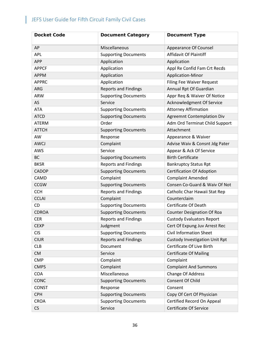| <b>Docket Code</b> | <b>Document Category</b>    | <b>Document Type</b>                  |
|--------------------|-----------------------------|---------------------------------------|
| AP                 | Miscellaneous               | <b>Appearance Of Counsel</b>          |
| <b>APL</b>         | <b>Supporting Documents</b> | <b>Affidavit Of Plaintiff</b>         |
| <b>APP</b>         | Application                 | Application                           |
| <b>APPCF</b>       | Application                 | Appl Re Confid Fam Crt Recds          |
| <b>APPM</b>        | Application                 | Application-Minor                     |
| <b>APPRC</b>       | Application                 | <b>Filing Fee Waiver Request</b>      |
| <b>ARG</b>         | <b>Reports and Findings</b> | Annual Rpt Of Guardian                |
| <b>ARW</b>         | <b>Supporting Documents</b> | Appr Req & Waiver Of Notice           |
| AS                 | Service                     | Acknowledgment Of Service             |
| <b>ATA</b>         | <b>Supporting Documents</b> | <b>Attorney Affirmation</b>           |
| <b>ATCD</b>        | <b>Supporting Documents</b> | <b>Agreemnt Contemplation Div</b>     |
| <b>ATERM</b>       | Order                       | Adm Ord Terminat Child Support        |
| <b>ATTCH</b>       | <b>Supporting Documents</b> | Attachment                            |
| AW                 | Response                    | Appearance & Waiver                   |
| <b>AWCJ</b>        | Complaint                   | Advise Waiv & Consnt Jdg Pater        |
| AWS                | Service                     | Appear & Ack Of Service               |
| <b>BC</b>          | <b>Supporting Documents</b> | <b>Birth Certificate</b>              |
| <b>BKSR</b>        | <b>Reports and Findings</b> | <b>Bankruptcy Status Rpt</b>          |
| <b>CADOP</b>       | <b>Supporting Documents</b> | <b>Certification Of Adoption</b>      |
| CAMD               | Complaint                   | <b>Complaint Amended</b>              |
| <b>CCGW</b>        | <b>Supporting Documents</b> | Consen Co-Guard & Waiv Of Not         |
| <b>CCH</b>         | <b>Reports and Findings</b> | Catholic Char Hawaii Stat Rep         |
| <b>CCLAI</b>       | Complaint                   | Counterclaim                          |
| <b>CD</b>          | <b>Supporting Documents</b> | Certificate Of Death                  |
| <b>CDROA</b>       | <b>Supporting Documents</b> | <b>Counter Designation Of Roa</b>     |
| <b>CER</b>         | <b>Reports and Findings</b> | <b>Custody Evaluators Report</b>      |
| <b>CEXP</b>        | Judgment                    | Cert Of Expung Juv Arrest Rec         |
| <b>CIS</b>         | <b>Supporting Documents</b> | <b>Civil Information Sheet</b>        |
| <b>CIUR</b>        | <b>Reports and Findings</b> | <b>Custody Investigation Unit Rpt</b> |
| <b>CLB</b>         | Document                    | Certificate Of Live Birth             |
| <b>CM</b>          | Service                     | <b>Certificate Of Mailing</b>         |
| <b>CMP</b>         | Complaint                   | Complaint                             |
| <b>CMPS</b>        | Complaint                   | <b>Complaint And Summons</b>          |
| COA                | Miscellaneous               | Change Of Address                     |
| <b>CONC</b>        | <b>Supporting Documents</b> | <b>Consent Of Child</b>               |
| <b>CONST</b>       | Response                    | Consent                               |
| <b>CPH</b>         | <b>Supporting Documents</b> | Copy Of Cert Of Physician             |
| <b>CROA</b>        | <b>Supporting Documents</b> | Certified Record On Appeal            |
| CS                 | Service                     | <b>Certificate Of Service</b>         |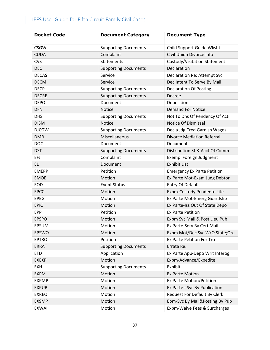| <b>Docket Code</b> | <b>Document Category</b>    | <b>Document Type</b>               |
|--------------------|-----------------------------|------------------------------------|
| <b>CSGW</b>        | <b>Supporting Documents</b> | Child Support Guide Wksht          |
| <b>CUDA</b>        | Complaint                   | Civil Union Divorce Info           |
| <b>CVS</b>         | <b>Statements</b>           | Custody/Visitation Statement       |
| <b>DEC</b>         | <b>Supporting Documents</b> | Declaration                        |
| <b>DECAS</b>       | Service                     | Declaration Re: Attempt Svc        |
| <b>DECM</b>        | Service                     | Dec Intent To Serve By Mail        |
| <b>DECP</b>        | <b>Supporting Documents</b> | <b>Declaration Of Posting</b>      |
| <b>DECRE</b>       | <b>Supporting Documents</b> | Decree                             |
| <b>DEPO</b>        | Document                    | Deposition                         |
| <b>DFN</b>         | <b>Notice</b>               | <b>Demand For Notice</b>           |
| <b>DHS</b>         | <b>Supporting Documents</b> | Not To Dhs Of Pendency Of Acti     |
| <b>DISM</b>        | <b>Notice</b>               | <b>Notice Of Dismissal</b>         |
| <b>DJCGW</b>       | <b>Supporting Documents</b> | Decla Jdg Cred Garnish Wages       |
| <b>DMR</b>         | Miscellaneous               | <b>Divorce Mediation Referral</b>  |
| <b>DOC</b>         | Document                    | Document                           |
| <b>DST</b>         | <b>Supporting Documents</b> | Distribution St & Acct Of Comm     |
| EFJ                | Complaint                   | <b>Exempl Foreign Judgment</b>     |
| <b>EL</b>          | Document                    | <b>Exhibit List</b>                |
| <b>EMEPP</b>       | Petition                    | <b>Emergency Ex Parte Petition</b> |
| <b>EMOE</b>        | Motion                      | Ex Parte Mot-Exam Judg Debtor      |
| <b>EOD</b>         | <b>Event Status</b>         | Entry Of Default                   |
| <b>EPCC</b>        | Motion                      | Expm-Custody Pendente Lite         |
| <b>EPEG</b>        | Motion                      | Ex Parte Mot-Emerg Guardshp        |
| <b>EPIC</b>        | Motion                      | Ex Parte-Iss Out Of State Depo     |
| <b>EPP</b>         | Petition                    | <b>Ex Parte Petition</b>           |
| <b>EPSPO</b>       | Motion                      | Expm Svc Mail & Post Lieu Pub      |
| <b>EPSUM</b>       | Motion                      | Ex Parte-Serv By Cert Mail         |
| <b>EPSWO</b>       | Motion                      | Expm Mot/Dec Svc W/O State; Ord    |
| <b>EPTRO</b>       | Petition                    | Ex Parte Petition For Tro          |
| <b>ERRAT</b>       | <b>Supporting Documents</b> | Errata Re:                         |
| <b>ETD</b>         | Application                 | Ex Parte App-Depo Writ Interog     |
| <b>EXEXP</b>       | Motion                      | Expm-Advance/Expedite              |
| <b>EXH</b>         | <b>Supporting Documents</b> | Exhibit                            |
| <b>EXPM</b>        | Motion                      | <b>Ex Parte Motion</b>             |
| <b>EXPMP</b>       | Motion                      | Ex Parte Motion/Petition           |
| <b>EXPUB</b>       | Motion                      | Ex Parte - Svc By Publication      |
| <b>EXREQ</b>       | Motion                      | Request For Default By Clerk       |
| <b>EXSMP</b>       | Motion                      | Epm-Svc By Mail&Posting By Pub     |
| <b>EXWAI</b>       | Motion                      | Expm-Waive Fees & Surcharges       |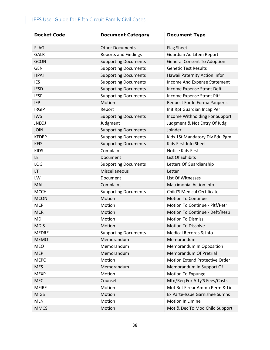| <b>Docket Code</b> | <b>Document Category</b>    | <b>Document Type</b>               |
|--------------------|-----------------------------|------------------------------------|
| <b>FLAG</b>        | <b>Other Documents</b>      | <b>Flag Sheet</b>                  |
| <b>GALR</b>        | <b>Reports and Findings</b> | Guardian Ad Litem Report           |
| <b>GCON</b>        | <b>Supporting Documents</b> | <b>General Consent To Adoption</b> |
| <b>GEN</b>         | <b>Supporting Documents</b> | <b>Genetic Test Results</b>        |
| <b>HPAI</b>        | <b>Supporting Documents</b> | Hawaii Paternity Action Infor      |
| <b>IES</b>         | <b>Supporting Documents</b> | Income And Expense Statement       |
| <b>IESD</b>        | <b>Supporting Documents</b> | Income Expense Stmnt Deft          |
| <b>IESP</b>        | <b>Supporting Documents</b> | Income Expense Stmnt Pltf          |
| <b>IFP</b>         | Motion                      | Request For In Forma Pauperis      |
| <b>IRGIP</b>       | Report                      | Init Rpt Guardian Incap Per        |
| <b>IWS</b>         | <b>Supporting Documents</b> | Income Withholding For Support     |
| <b>JNEOJ</b>       | Judgment                    | Judgment & Not Entry Of Judg       |
| <b>JOIN</b>        | <b>Supporting Documents</b> | Joinder                            |
| <b>KFDEP</b>       | <b>Supporting Documents</b> | Kids 1St Mandatory Div Edu Pgm     |
| <b>KFIS</b>        | <b>Supporting Documents</b> | Kids First Info Sheet              |
| <b>KIDS</b>        | Complaint                   | Notice Kids First                  |
| <b>LE</b>          | Document                    | List Of Exhibits                   |
| LOG                | <b>Supporting Documents</b> | Letters Of Guardianship            |
| <b>LT</b>          | Miscellaneous               | Letter                             |
| LW                 | Document                    | List Of Witnesses                  |
| MAI                | Complaint                   | <b>Matrimonial Action Info</b>     |
| <b>MCCH</b>        | <b>Supporting Documents</b> | <b>Child'S Medical Certificate</b> |
| <b>MCON</b>        | Motion                      | <b>Motion To Continue</b>          |
| <b>MCP</b>         | Motion                      | Motion To Continue - Pltf/Petr     |
| <b>MCR</b>         | Motion                      | Motion To Continue - Deft/Resp     |
| <b>MD</b>          | Motion                      | <b>Motion To Dismiss</b>           |
| <b>MDIS</b>        | Motion                      | <b>Motion To Dissolve</b>          |
| <b>MEDRE</b>       | <b>Supporting Documents</b> | Medical Records & Info             |
| <b>MEMO</b>        | Memorandum                  | Memorandum                         |
| <b>MEO</b>         | Memorandum                  | Memorandum In Opposition           |
| <b>MEP</b>         | Memorandum                  | Memorandum Of Pretrial             |
| <b>MEPO</b>        | Motion                      | Motion Extend Protective Order     |
| <b>MES</b>         | Memorandum                  | Memorandum In Support Of           |
| <b>MEXP</b>        | Motion                      | Motion To Expunge                  |
| <b>MFC</b>         | Counsel                     | Mtn/Req For Atty'S Fees/Costs      |
| <b>MFIRE</b>       | Motion                      | Mot Ret Firear Ammu Perm & Lic     |
| <b>MIGS</b>        | Motion                      | Ex Parte-Issue Garnishee Sumns     |
| <b>MLN</b>         | Motion                      | Motion In Limine                   |
| <b>MMCS</b>        | Motion                      | Mot & Dec To Mod Child Support     |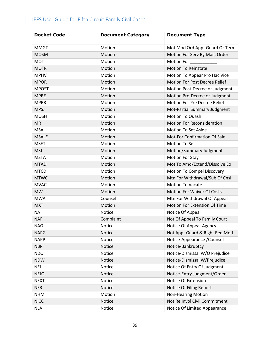| <b>Docket Code</b> | <b>Document Category</b> | <b>Document Type</b>                |
|--------------------|--------------------------|-------------------------------------|
| <b>MMGT</b>        | Motion                   | Mot Mod Ord Appt Guard Or Term      |
| <b>MOSM</b>        | Motion                   | Motion For Serv By Mail; Order      |
| <b>MOT</b>         | Motion                   | <b>Motion For</b>                   |
| <b>MOTR</b>        | Motion                   | <b>Motion To Reinstate</b>          |
| <b>MPHV</b>        | Motion                   | Motion To Appear Pro Hac Vice       |
| <b>MPOR</b>        | Motion                   | Motion For Post Decree Relief       |
| <b>MPOST</b>       | Motion                   | Motion Post-Decree or Judgment      |
| <b>MPRE</b>        | Motion                   | Motion Pre-Decree or Judgment       |
| <b>MPRR</b>        | Motion                   | Motion For Pre Decree Relief        |
| <b>MPSJ</b>        | Motion                   | Mot-Partial Summary Judgment        |
| <b>MQSH</b>        | Motion                   | Motion To Quash                     |
| <b>MR</b>          | Motion                   | <b>Motion For Reconsideration</b>   |
| <b>MSA</b>         | Motion                   | <b>Motion To Set Aside</b>          |
| <b>MSALE</b>       | Motion                   | Mot-For Confirmation Of Sale        |
| <b>MSET</b>        | Motion                   | <b>Motion To Set</b>                |
| <b>MSJ</b>         | Motion                   | Motion/Summary Judgment             |
| <b>MSTA</b>        | Motion                   | <b>Motion For Stay</b>              |
| <b>MTAD</b>        | Motion                   | Mot To Amd/Extend/Dissolve Eo       |
| <b>MTCD</b>        | Motion                   | Motion To Compel Discovery          |
| <b>MTWC</b>        | Motion                   | Mtn For Withdrawal/Sub Of Cnsl      |
| <b>MVAC</b>        | Motion                   | <b>Motion To Vacate</b>             |
| <b>MW</b>          | Motion                   | <b>Motion For Waiver Of Costs</b>   |
| <b>MWA</b>         | Counsel                  | Mtn For Withdrawal Of Appeal        |
| <b>MXT</b>         | Motion                   | <b>Motion For Extension Of Time</b> |
| ΝA                 | Notice                   | Notice Of Appeal                    |
| <b>NAF</b>         | Complaint                | Not Of Appeal To Family Court       |
| <b>NAG</b>         | Notice                   | Notice Of Appeal-Agency             |
| <b>NAPG</b>        | Notice                   | Not Appt Guard & Right Req Mod      |
| <b>NAPP</b>        | Notice                   | Notice-Appearance / Counsel         |
| <b>NBR</b>         | Notice                   | Notice-Bankruptcy                   |
| <b>NDO</b>         | Notice                   | Notice-Dismissal W/O Prejudice      |
| <b>NDW</b>         | Notice                   | Notice-Dismissal W/Prejudice        |
| <b>NEJ</b>         | Notice                   | Notice Of Entry Of Judgment         |
| <b>NEJO</b>        | Notice                   | Notice-Entry Judgment/Order         |
| <b>NEXT</b>        | Notice                   | Notice Of Extension                 |
| <b>NFR</b>         | Notice                   | Notice Of Filing Report             |
| <b>NHM</b>         | Motion                   | <b>Non-Hearing Motion</b>           |
| <b>NICC</b>        | Notice                   | Not Re Invol Civil Commitment       |
| <b>NLA</b>         | Notice                   | Notice Of Limited Appearance        |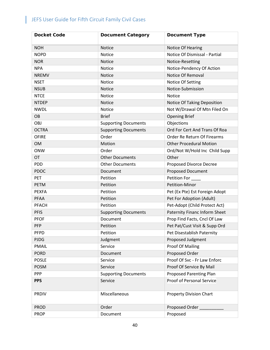| <b>Docket Code</b> | <b>Document Category</b>    | <b>Document Type</b>             |
|--------------------|-----------------------------|----------------------------------|
| <b>NOH</b>         | <b>Notice</b>               | Notice Of Hearing                |
| <b>NOPD</b>        | <b>Notice</b>               | Notice Of Dismissal - Partial    |
| <b>NOR</b>         | Notice                      | Notice-Resetting                 |
| <b>NPA</b>         | <b>Notice</b>               | Notice-Pendency Of Action        |
| <b>NREMV</b>       | <b>Notice</b>               | Notice Of Removal                |
| <b>NSET</b>        | Notice                      | Notice Of Setting                |
| <b>NSUB</b>        | Notice                      | Notice-Submission                |
| <b>NTCE</b>        | <b>Notice</b>               | Notice                           |
| <b>NTDEP</b>       | Notice                      | Notice Of Taking Deposition      |
| <b>NWDL</b>        | Notice                      | Not W/Drawal Of Mtn Filed On     |
| <b>OB</b>          | <b>Brief</b>                | <b>Opening Brief</b>             |
| OBJ                | <b>Supporting Documents</b> | Objections                       |
| <b>OCTRA</b>       | <b>Supporting Documents</b> | Ord For Cert And Trans Of Roa    |
| <b>OFIRE</b>       | Order                       | Order Re Return Of Firearms      |
| <b>OM</b>          | Motion                      | <b>Other Procedural Motion</b>   |
| <b>ONW</b>         | Order                       | Ord/Not W/Hold Inc Child Supp    |
| OT                 | <b>Other Documents</b>      | Other                            |
| <b>PDD</b>         | <b>Other Documents</b>      | Proposed Divorce Decree          |
| <b>PDOC</b>        | Document                    | <b>Proposed Document</b>         |
| <b>PET</b>         | Petition                    | <b>Petition For</b>              |
| <b>PETM</b>        | Petition                    | <b>Petition-Minor</b>            |
| <b>PEXFA</b>       | Petition                    | Pet (Ex Pte) Est Foreign Adopt   |
| <b>PFAA</b>        | Petition                    | Pet For Adoption (Adult)         |
| <b>PFACH</b>       | Petition                    | Pet-Adopt (Child Protect Act)    |
| <b>PFIS</b>        | <b>Supporting Documents</b> | Paternity Financ Inform Sheet    |
| <b>PFOF</b>        | Document                    | Prop Find Facts, Cncl Of Law     |
| PFP                | Petition                    | Pet Pat/Cust Visit & Supp Ord    |
| <b>PFPD</b>        | Petition                    | Pet Disestablish Paternity       |
| <b>PJDG</b>        | Judgment                    | Proposed Judgment                |
| <b>PMAIL</b>       | Service                     | <b>Proof Of Mailing</b>          |
| <b>PORD</b>        | Document                    | Proposed Order                   |
| <b>POSLE</b>       | Service                     | Proof Of Svc - Fr Law Enforc     |
| <b>POSM</b>        | Service                     | Proof Of Service By Mail         |
| <b>PPP</b>         | <b>Supporting Documents</b> | <b>Proposed Parenting Plan</b>   |
| <b>PPS</b>         | Service                     | <b>Proof of Personal Service</b> |
| <b>PRDIV</b>       | Miscellaneous               | <b>Property Division Chart</b>   |
| <b>PROD</b>        | Order                       | Proposed Order                   |
| <b>PROP</b>        | Document                    | Proposed                         |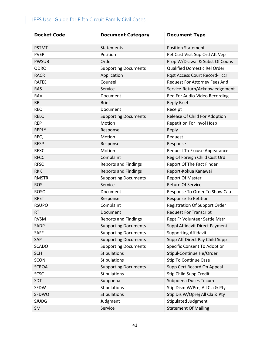| <b>Docket Code</b> | <b>Document Category</b>    | <b>Document Type</b>                 |
|--------------------|-----------------------------|--------------------------------------|
| <b>PSTMT</b>       | <b>Statements</b>           | <b>Position Statement</b>            |
| <b>PVEP</b>        | Petition                    | Pet Cust Visit Sup Ord Aft Vep       |
| <b>PWSUB</b>       | Order                       | Prop W/Drawal & Subst Of Couns       |
| QDRO               | <b>Supporting Documents</b> | Qualified Domestic Rel Order         |
| <b>RACR</b>        | Application                 | Rqst Access Court Record-Hccr        |
| <b>RAFEE</b>       | Counsel                     | Request For Attorney Fees And        |
| <b>RAS</b>         | Service                     | Service-Return/Acknowledgement       |
| <b>RAV</b>         | Document                    | Req For Audio-Video Recording        |
| <b>RB</b>          | <b>Brief</b>                | <b>Reply Brief</b>                   |
| <b>REC</b>         | Document                    | Receipt                              |
| <b>RELC</b>        | <b>Supporting Documents</b> | Release Of Child For Adoption        |
| <b>REP</b>         | Motion                      | <b>Repetition For Invol Hosp</b>     |
| <b>REPLY</b>       | Response                    | Reply                                |
| <b>REQ</b>         | Motion                      | Request                              |
| <b>RESP</b>        | Response                    | Response                             |
| <b>REXC</b>        | Motion                      | Request To Excuse Appearance         |
| <b>RFCC</b>        | Complaint                   | Reg Of Foreign Child Cust Ord        |
| <b>RFSO</b>        | <b>Reports and Findings</b> | Report Of The Fact Finder            |
| <b>RKK</b>         | <b>Reports and Findings</b> | Report-Kokua Kanawai                 |
| <b>RMSTR</b>       | <b>Supporting Documents</b> | <b>Report Of Master</b>              |
| <b>ROS</b>         | Service                     | <b>Return Of Service</b>             |
| <b>ROSC</b>        | Document                    | Response To Order To Show Cau        |
| <b>RPET</b>        | Response                    | <b>Response To Petition</b>          |
| <b>RSUPO</b>       | Complaint                   | <b>Registration Of Support Order</b> |
| <b>RT</b>          | Document                    | <b>Request For Transcript</b>        |
| <b>RVSM</b>        | <b>Reports and Findings</b> | Rept Fr Volunteer Settle Mstr        |
| <b>SADP</b>        | <b>Supporting Documents</b> | Suppl Affidavit Direct Payment       |
| <b>SAFF</b>        | <b>Supporting Documents</b> | <b>Supporting Affidavit</b>          |
| SAP                | <b>Supporting Documents</b> | Supp Aff Direct Pay Child Supp       |
| <b>SCADO</b>       | <b>Supporting Documents</b> | Specific Consent To Adoption         |
| <b>SCH</b>         | <b>Stipulations</b>         | Stipul-Continue He/Order             |
| <b>SCON</b>        | Stipulations                | Stip To Continue Case                |
| <b>SCROA</b>       | <b>Supporting Documents</b> | Supp Cert Record On Appeal           |
| <b>SCSC</b>        | <b>Stipulations</b>         | Stip Child Supp Credit               |
| SDT                | Subpoena                    | Subpoena Duces Tecum                 |
| SFDW               | Stipulations                | Stip Dism W/Prej All Cla & Pty       |
| SFDWO              | Stipulations                | Stip Dis W/Oprej All Cla & Pty       |
| <b>SJUDG</b>       | Judgment                    | <b>Stipulated Judgment</b>           |
| SM                 | Service                     | <b>Statement Of Mailing</b>          |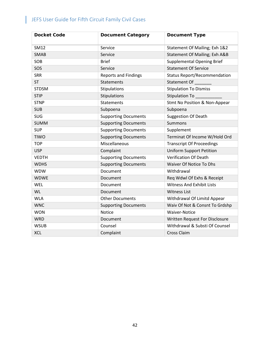| <b>Docket Code</b> | <b>Document Category</b>    | <b>Document Type</b>                |
|--------------------|-----------------------------|-------------------------------------|
| SM12               | Service                     | Statement Of Mailing; Exh 1&2       |
| <b>SMAB</b>        | Service                     | Statement Of Mailing; Exh A&B       |
| SOB                | <b>Brief</b>                | <b>Supplemental Opening Brief</b>   |
| SOS                | Service                     | <b>Statement Of Service</b>         |
| <b>SRR</b>         | <b>Reports and Findings</b> | <b>Status Report/Recommendation</b> |
| <b>ST</b>          | <b>Statements</b>           | Statement Of                        |
| <b>STDSM</b>       | Stipulations                | <b>Stipulation To Dismiss</b>       |
| <b>STIP</b>        | Stipulations                | Stipulation To _                    |
| <b>STNP</b>        | <b>Statements</b>           | Stmt No Position & Non-Appear       |
| <b>SUB</b>         | Subpoena                    | Subpoena                            |
| SUG                | <b>Supporting Documents</b> | <b>Suggestion Of Death</b>          |
| <b>SUMM</b>        | <b>Supporting Documents</b> | <b>Summons</b>                      |
| <b>SUP</b>         | <b>Supporting Documents</b> | Supplement                          |
| <b>TIWO</b>        | <b>Supporting Documents</b> | Terminat Of Income W/Hold Ord       |
| <b>TOP</b>         | Miscellaneous               | <b>Transcript Of Proceedings</b>    |
| <b>USP</b>         | Complaint                   | <b>Uniform Support Petition</b>     |
| <b>VEDTH</b>       | <b>Supporting Documents</b> | <b>Verification Of Death</b>        |
| <b>WDHS</b>        | <b>Supporting Documents</b> | Waiver Of Notice To Dhs             |
| <b>WDW</b>         | Document                    | Withdrawal                          |
| <b>WDWE</b>        | Document                    | Req Wdwl Of Exhs & Receipt          |
| WEL                | Document                    | <b>Witness And Exhibit Lists</b>    |
| <b>WL</b>          | Document                    | <b>Witness List</b>                 |
| <b>WLA</b>         | <b>Other Documents</b>      | Withdrawal Of Limitd Appear         |
| <b>WNC</b>         | <b>Supporting Documents</b> | Waiv Of Not & Consnt To Grdshp      |
| <b>WON</b>         | Notice                      | <b>Waiver-Notice</b>                |
| <b>WRD</b>         | Document                    | Written Request For Disclosure      |
| <b>WSUB</b>        | Counsel                     | Withdrawal & Substi Of Counsel      |
| <b>XCL</b>         | Complaint                   | <b>Cross Claim</b>                  |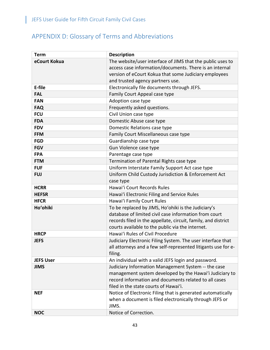L

## <span id="page-43-0"></span>APPENDIX D: Glossary of Terms and Abbreviations

| <b>Term</b>      | <b>Description</b>                                            |
|------------------|---------------------------------------------------------------|
| eCourt Kokua     | The website/user interface of JIMS that the public uses to    |
|                  | access case information/documents. There is an internal       |
|                  | version of eCourt Kokua that some Judiciary employees         |
|                  | and trusted agency partners use.                              |
| E-file           | Electronically file documents through JEFS.                   |
| <b>FAL</b>       | Family Court Appeal case type                                 |
| <b>FAN</b>       | Adoption case type                                            |
| <b>FAQ</b>       | Frequently asked questions.                                   |
| <b>FCU</b>       | Civil Union case type                                         |
| <b>FDA</b>       | Domestic Abuse case type                                      |
| <b>FDV</b>       | Domestic Relations case type                                  |
| <b>FFM</b>       | Family Court Miscellaneous case type                          |
| <b>FGD</b>       | Guardianship case type                                        |
| <b>FGV</b>       | Gun Violence case type                                        |
| <b>FPA</b>       | Parentage case type                                           |
| <b>FTM</b>       | Termination of Parental Rights case type                      |
| <b>FUF</b>       | Uniform Interstate Family Support Act case type               |
| <b>FUJ</b>       | Uniform Child Custody Jurisdiction & Enforcement Act          |
|                  | case type                                                     |
| <b>HCRR</b>      | Hawai'i Court Records Rules                                   |
| <b>HEFSR</b>     | Hawai'i Electronic Filing and Service Rules                   |
| <b>HFCR</b>      | Hawai'i Family Court Rules                                    |
| Ho'ohiki         | To be replaced by JIMS, Ho'ohiki is the Judiciary's           |
|                  | database of limited civil case information from court         |
|                  | records filed in the appellate, circuit, family, and district |
|                  | courts available to the public via the internet.              |
| <b>HRCP</b>      | Hawai'i Rules of Civil Procedure                              |
| <b>JEFS</b>      | Judiciary Electronic Filing System. The user interface that   |
|                  | all attorneys and a few self-represented litigants use for e- |
|                  | filing.                                                       |
| <b>JEFS User</b> | An individual with a valid JEFS login and password.           |
| <b>JIMS</b>      | Judiciary Information Management System -- the case           |
|                  | management system developed by the Hawai'i Judiciary to       |
|                  | record information and documents related to all cases         |
|                  | filed in the state courts of Hawai'i.                         |
| <b>NEF</b>       | Notice of Electronic Filing that is generated automatically   |
|                  | when a document is filed electronically through JEFS or       |
|                  | JIMS.                                                         |
| <b>NOC</b>       | Notice of Correction.                                         |